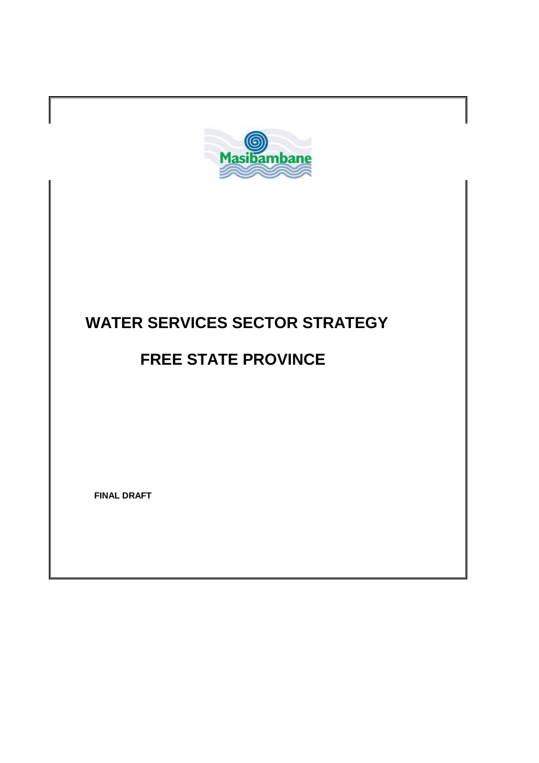

# **WATER SERVICES SECTOR STRATEGY**

# **FREE STATE PROVINCE**

**FINAL DRAFT**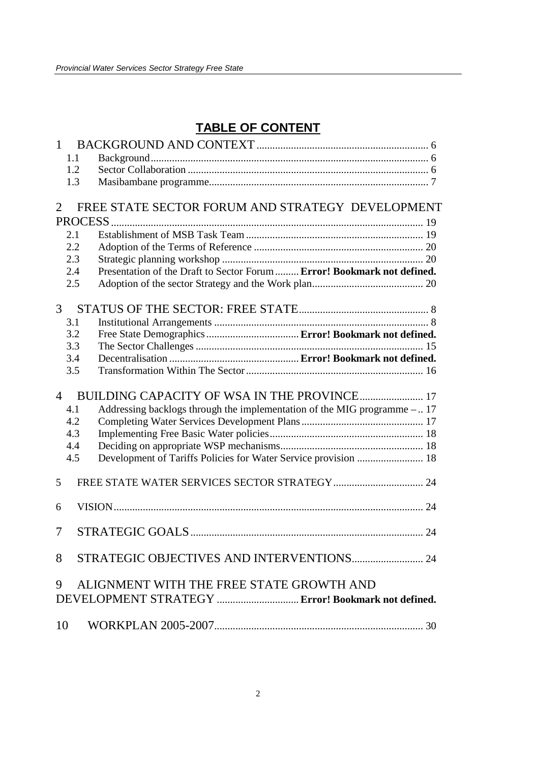# **TABLE OF CONTENT**

| $\mathbf{1}$   |     |                                                                           |
|----------------|-----|---------------------------------------------------------------------------|
|                | 1.1 |                                                                           |
|                | 1.2 |                                                                           |
|                | 1.3 |                                                                           |
| $\overline{2}$ |     | FREE STATE SECTOR FORUM AND STRATEGY DEVELOPMENT                          |
|                |     |                                                                           |
|                | 2.1 |                                                                           |
|                | 2.2 |                                                                           |
|                | 2.3 |                                                                           |
|                | 2.4 | Presentation of the Draft to Sector Forum  Error! Bookmark not defined.   |
|                | 2.5 |                                                                           |
| 3              |     |                                                                           |
|                | 3.1 |                                                                           |
|                | 3.2 |                                                                           |
|                | 3.3 |                                                                           |
|                | 3.4 |                                                                           |
|                | 3.5 |                                                                           |
| $\overline{4}$ |     | BUILDING CAPACITY OF WSA IN THE PROVINCE 17                               |
|                | 4.1 | Addressing backlogs through the implementation of the MIG programme -  17 |
|                | 4.2 |                                                                           |
|                | 4.3 |                                                                           |
|                | 4.4 |                                                                           |
|                | 4.5 |                                                                           |
| 5              |     |                                                                           |
| 6              |     |                                                                           |
|                |     |                                                                           |
| 7              |     |                                                                           |
| 8              |     |                                                                           |
| 9              |     | ALIGNMENT WITH THE FREE STATE GROWTH AND                                  |
|                |     | DEVELOPMENT STRATEGY  Error! Bookmark not defined.                        |
| 10             |     |                                                                           |
|                |     |                                                                           |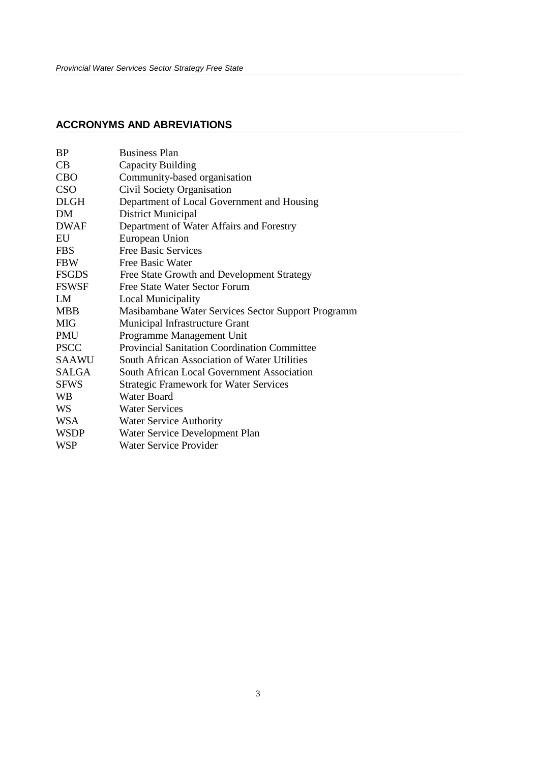## **ACCRONYMS AND ABREVIATIONS**

| <b>BP</b>    | <b>Business Plan</b>                                |
|--------------|-----------------------------------------------------|
| CB           | <b>Capacity Building</b>                            |
| <b>CBO</b>   | Community-based organisation                        |
| <b>CSO</b>   | Civil Society Organisation                          |
| <b>DLGH</b>  | Department of Local Government and Housing          |
| DM.          | <b>District Municipal</b>                           |
| <b>DWAF</b>  | Department of Water Affairs and Forestry            |
| EU           | European Union                                      |
| <b>FBS</b>   | <b>Free Basic Services</b>                          |
| <b>FBW</b>   | Free Basic Water                                    |
| <b>FSGDS</b> | Free State Growth and Development Strategy          |
| <b>FSWSF</b> | Free State Water Sector Forum                       |
| LM           | <b>Local Municipality</b>                           |
| <b>MBB</b>   | Masibambane Water Services Sector Support Programm  |
| <b>MIG</b>   | Municipal Infrastructure Grant                      |
| <b>PMU</b>   | Programme Management Unit                           |
| <b>PSCC</b>  | <b>Provincial Sanitation Coordination Committee</b> |
| <b>SAAWU</b> | South African Association of Water Utilities        |
| <b>SALGA</b> | <b>South African Local Government Association</b>   |
| <b>SFWS</b>  | <b>Strategic Framework for Water Services</b>       |
| <b>WB</b>    | <b>Water Board</b>                                  |
| WS           | <b>Water Services</b>                               |
| <b>WSA</b>   | <b>Water Service Authority</b>                      |
| <b>WSDP</b>  | Water Service Development Plan                      |
| <b>WSP</b>   | <b>Water Service Provider</b>                       |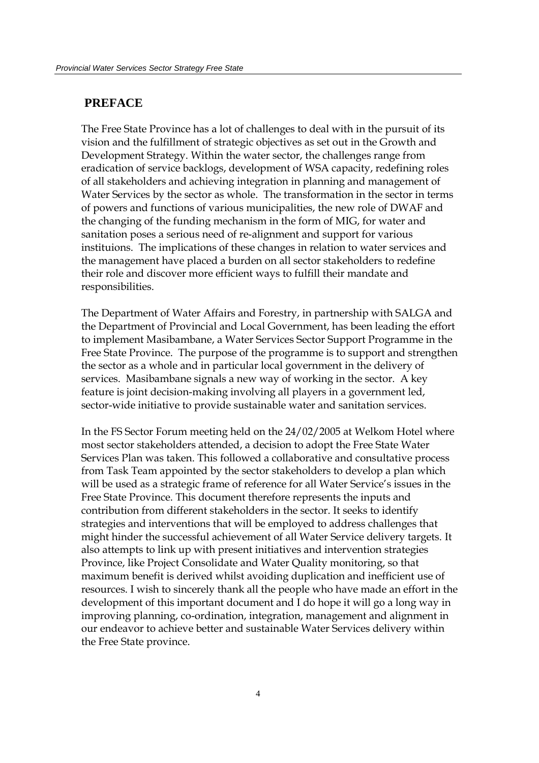#### **PREFACE**

The Free State Province has a lot of challenges to deal with in the pursuit of its vision and the fulfillment of strategic objectives as set out in the Growth and Development Strategy. Within the water sector, the challenges range from eradication of service backlogs, development of WSA capacity, redefining roles of all stakeholders and achieving integration in planning and management of Water Services by the sector as whole. The transformation in the sector in terms of powers and functions of various municipalities, the new role of DWAF and the changing of the funding mechanism in the form of MIG, for water and sanitation poses a serious need of re-alignment and support for various instituions. The implications of these changes in relation to water services and the management have placed a burden on all sector stakeholders to redefine their role and discover more efficient ways to fulfill their mandate and responsibilities.

The Department of Water Affairs and Forestry, in partnership with SALGA and the Department of Provincial and Local Government, has been leading the effort to implement Masibambane, a Water Services Sector Support Programme in the Free State Province. The purpose of the programme is to support and strengthen the sector as a whole and in particular local government in the delivery of services. Masibambane signals a new way of working in the sector. A key feature is joint decision-making involving all players in a government led, sector-wide initiative to provide sustainable water and sanitation services.

In the FS Sector Forum meeting held on the 24/02/2005 at Welkom Hotel where most sector stakeholders attended, a decision to adopt the Free State Water Services Plan was taken. This followed a collaborative and consultative process from Task Team appointed by the sector stakeholders to develop a plan which will be used as a strategic frame of reference for all Water Service's issues in the Free State Province. This document therefore represents the inputs and contribution from different stakeholders in the sector. It seeks to identify strategies and interventions that will be employed to address challenges that might hinder the successful achievement of all Water Service delivery targets. It also attempts to link up with present initiatives and intervention strategies Province, like Project Consolidate and Water Quality monitoring, so that maximum benefit is derived whilst avoiding duplication and inefficient use of resources. I wish to sincerely thank all the people who have made an effort in the development of this important document and I do hope it will go a long way in improving planning, co-ordination, integration, management and alignment in our endeavor to achieve better and sustainable Water Services delivery within the Free State province.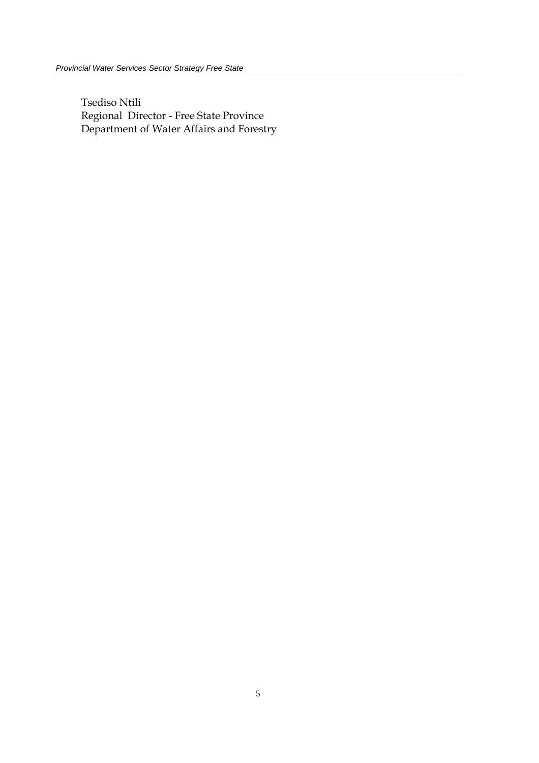Tsediso Ntili Regional Director - Free State Province Department of Water Affairs and Forestry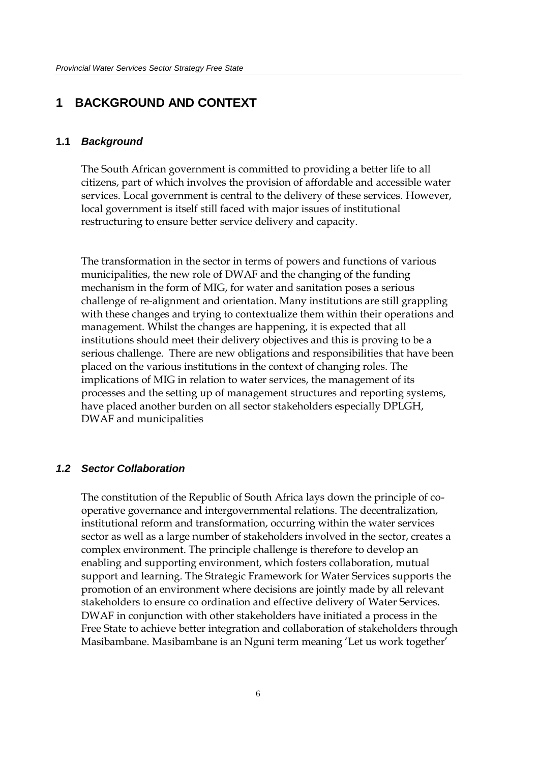## **1 BACKGROUND AND CONTEXT**

#### **1.1** *Background*

The South African government is committed to providing a better life to all citizens, part of which involves the provision of affordable and accessible water services. Local government is central to the delivery of these services. However, local government is itself still faced with major issues of institutional restructuring to ensure better service delivery and capacity.

The transformation in the sector in terms of powers and functions of various municipalities, the new role of DWAF and the changing of the funding mechanism in the form of MIG, for water and sanitation poses a serious challenge of re-alignment and orientation. Many institutions are still grappling with these changes and trying to contextualize them within their operations and management. Whilst the changes are happening, it is expected that all institutions should meet their delivery objectives and this is proving to be a serious challenge. There are new obligations and responsibilities that have been placed on the various institutions in the context of changing roles. The implications of MIG in relation to water services, the management of its processes and the setting up of management structures and reporting systems, have placed another burden on all sector stakeholders especially DPLGH, DWAF and municipalities

#### *1.2 Sector Collaboration*

The constitution of the Republic of South Africa lays down the principle of cooperative governance and intergovernmental relations. The decentralization, institutional reform and transformation, occurring within the water services sector as well as a large number of stakeholders involved in the sector, creates a complex environment. The principle challenge is therefore to develop an enabling and supporting environment, which fosters collaboration, mutual support and learning. The Strategic Framework for Water Services supports the promotion of an environment where decisions are jointly made by all relevant stakeholders to ensure co ordination and effective delivery of Water Services. DWAF in conjunction with other stakeholders have initiated a process in the Free State to achieve better integration and collaboration of stakeholders through Masibambane. Masibambane is an Nguni term meaning 'Let us work together'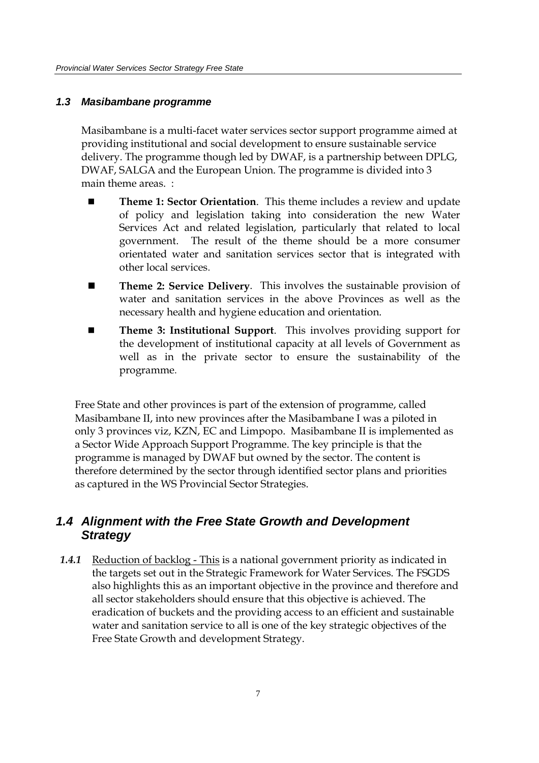#### *1.3 Masibambane programme*

Masibambane is a multi-facet water services sector support programme aimed at providing institutional and social development to ensure sustainable service delivery. The programme though led by DWAF, is a partnership between DPLG, DWAF, SALGA and the European Union. The programme is divided into 3 main theme areas. :

- **Theme 1: Sector Orientation**. This theme includes a review and update of policy and legislation taking into consideration the new Water Services Act and related legislation, particularly that related to local government. The result of the theme should be a more consumer orientated water and sanitation services sector that is integrated with other local services.
- Theme 2: Service Delivery. This involves the sustainable provision of water and sanitation services in the above Provinces as well as the necessary health and hygiene education and orientation.
- **Theme 3: Institutional Support.** This involves providing support for the development of institutional capacity at all levels of Government as well as in the private sector to ensure the sustainability of the programme.

Free State and other provinces is part of the extension of programme, called Masibambane II, into new provinces after the Masibambane I was a piloted in only 3 provinces viz, KZN, EC and Limpopo. Masibambane II is implemented as a Sector Wide Approach Support Programme. The key principle is that the programme is managed by DWAF but owned by the sector. The content is therefore determined by the sector through identified sector plans and priorities as captured in the WS Provincial Sector Strategies.

# *1.4 Alignment with the Free State Growth and Development Strategy*

*1.4.1* Reduction of backlog - This is a national government priority as indicated in the targets set out in the Strategic Framework for Water Services. The FSGDS also highlights this as an important objective in the province and therefore and all sector stakeholders should ensure that this objective is achieved. The eradication of buckets and the providing access to an efficient and sustainable water and sanitation service to all is one of the key strategic objectives of the Free State Growth and development Strategy.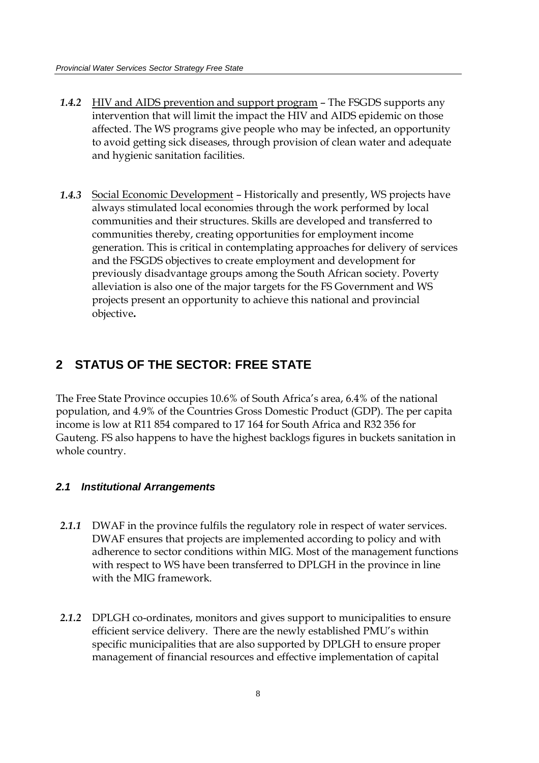- *1.4.2* HIV and AIDS prevention and support program The FSGDS supports any intervention that will limit the impact the HIV and AIDS epidemic on those affected. The WS programs give people who may be infected, an opportunity to avoid getting sick diseases, through provision of clean water and adequate and hygienic sanitation facilities.
- *1.4.3* Social Economic Development Historically and presently, WS projects have always stimulated local economies through the work performed by local communities and their structures. Skills are developed and transferred to communities thereby, creating opportunities for employment income generation. This is critical in contemplating approaches for delivery of services and the FSGDS objectives to create employment and development for previously disadvantage groups among the South African society. Poverty alleviation is also one of the major targets for the FS Government and WS projects present an opportunity to achieve this national and provincial objective**.**

# **2 STATUS OF THE SECTOR: FREE STATE**

The Free State Province occupies 10.6% of South Africa's area, 6.4% of the national population, and 4.9% of the Countries Gross Domestic Product (GDP). The per capita income is low at R11 854 compared to 17 164 for South Africa and R32 356 for Gauteng. FS also happens to have the highest backlogs figures in buckets sanitation in whole country.

## *2.1 Institutional Arrangements*

- *2.1.1* DWAF in the province fulfils the regulatory role in respect of water services. DWAF ensures that projects are implemented according to policy and with adherence to sector conditions within MIG. Most of the management functions with respect to WS have been transferred to DPLGH in the province in line with the MIG framework.
- *2.1.2* DPLGH co-ordinates, monitors and gives support to municipalities to ensure efficient service delivery. There are the newly established PMU's within specific municipalities that are also supported by DPLGH to ensure proper management of financial resources and effective implementation of capital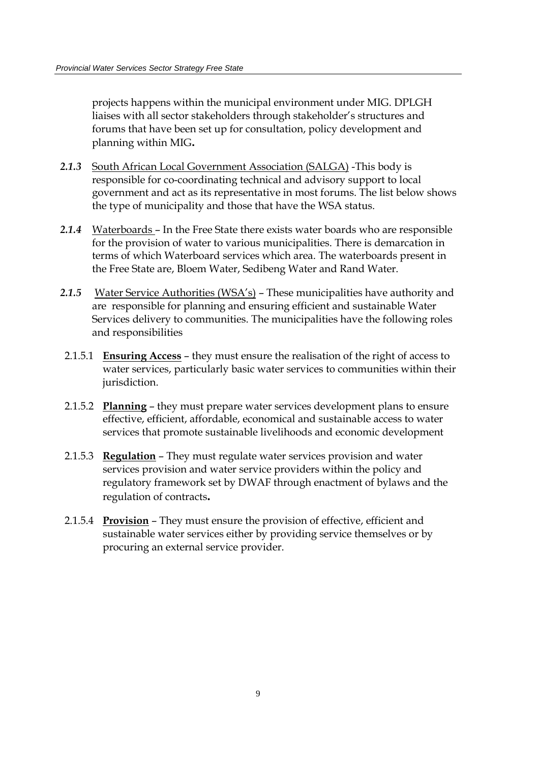projects happens within the municipal environment under MIG. DPLGH liaises with all sector stakeholders through stakeholder's structures and forums that have been set up for consultation, policy development and planning within MIG**.**

- 2.1.3 South African Local Government Association (SALGA) -This body is responsible for co-coordinating technical and advisory support to local government and act as its representative in most forums. The list below shows the type of municipality and those that have the WSA status.
- *2.1.4* Waterboards In the Free State there exists water boards who are responsible for the provision of water to various municipalities. There is demarcation in terms of which Waterboard services which area. The waterboards present in the Free State are, Bloem Water, Sedibeng Water and Rand Water.
- *2.1.5* Water Service Authorities (WSA's) These municipalities have authority and are responsible for planning and ensuring efficient and sustainable Water Services delivery to communities. The municipalities have the following roles and responsibilities
- 2.1.5.1 **Ensuring Access** they must ensure the realisation of the right of access to water services, particularly basic water services to communities within their jurisdiction.
- 2.1.5.2 **Planning** they must prepare water services development plans to ensure effective, efficient, affordable, economical and sustainable access to water services that promote sustainable livelihoods and economic development
- 2.1.5.3 **Regulation** They must regulate water services provision and water services provision and water service providers within the policy and regulatory framework set by DWAF through enactment of bylaws and the regulation of contracts**.**
- 2.1.5.4 **Provision** They must ensure the provision of effective, efficient and sustainable water services either by providing service themselves or by procuring an external service provider.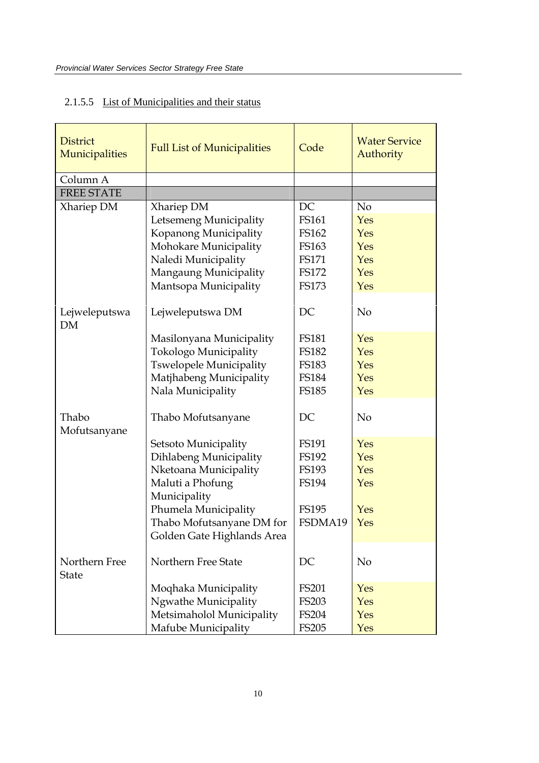| <b>District</b><br>Municipalities | <b>Full List of Municipalities</b> | Code         | <b>Water Service</b><br>Authority |
|-----------------------------------|------------------------------------|--------------|-----------------------------------|
| Column A                          |                                    |              |                                   |
| <b>FREE STATE</b>                 |                                    |              |                                   |
| Xhariep DM                        | Xhariep DM                         | DC           | N <sub>o</sub>                    |
|                                   | Letsemeng Municipality             | FS161        | Yes                               |
|                                   | Kopanong Municipality              | FS162        | Yes                               |
|                                   | Mohokare Municipality              | FS163        | Yes                               |
|                                   | Naledi Municipality                | FS171        | Yes                               |
|                                   | Mangaung Municipality              | <b>FS172</b> | Yes                               |
|                                   | Mantsopa Municipality              | <b>FS173</b> | Yes                               |
| Lejweleputswa<br>DM               | Lejweleputswa DM                   | DC           | No                                |
|                                   | Masilonyana Municipality           | <b>FS181</b> | Yes                               |
|                                   | Tokologo Municipality              | <b>FS182</b> | Yes                               |
|                                   | <b>Tswelopele Municipality</b>     | <b>FS183</b> | Yes                               |
|                                   | Matjhabeng Municipality            | <b>FS184</b> | Yes                               |
|                                   | Nala Municipality                  | <b>FS185</b> | Yes                               |
| Thabo<br>Mofutsanyane             | Thabo Mofutsanyane                 | DC           | N <sub>o</sub>                    |
|                                   | Setsoto Municipality               | FS191        | Yes                               |
|                                   | Dihlabeng Municipality             | <b>FS192</b> | Yes                               |
|                                   | Nketoana Municipality              | <b>FS193</b> | Yes                               |
|                                   | Maluti a Phofung                   | FS194        | Yes                               |
|                                   | Municipality                       |              |                                   |
|                                   | Phumela Municipality               | <b>FS195</b> | Yes                               |
|                                   | Thabo Mofutsanyane DM for          | FSDMA19      | Yes                               |
|                                   | Golden Gate Highlands Area         |              |                                   |
| Northern Free<br><b>State</b>     | Northern Free State                | DC           | No                                |
|                                   | Moqhaka Municipality               | <b>FS201</b> | Yes                               |
|                                   | Ngwathe Municipality               | <b>FS203</b> | Yes                               |
|                                   | Metsimaholol Municipality          | <b>FS204</b> | Yes                               |
|                                   | Mafube Municipality                | <b>FS205</b> | Yes                               |

# 2.1.5.5 List of Municipalities and their status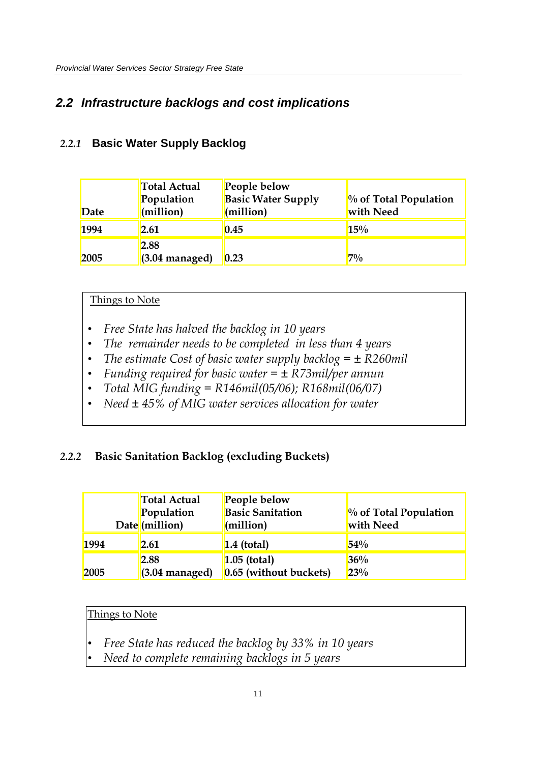# *2.2 Infrastructure backlogs and cost implications*

# *2.2.1* **Basic Water Supply Backlog**

| Date | <b>Total Actual</b><br>Population<br>(million) | <b>People below</b><br><b>Basic Water Supply</b><br>(million) | $\frac{0}{0}$ of Total Population<br>with Need |
|------|------------------------------------------------|---------------------------------------------------------------|------------------------------------------------|
| 1994 | 2.61                                           | 0.45                                                          | 15%                                            |
| 2005 | 2.88<br>$(3.04$ managed)                       | 0.23                                                          | $7\%$                                          |

## Things to Note

- *Free State has halved the backlog in 10 years*
- *The remainder needs to be completed in less than 4 years*
- *The estimate Cost of basic water supply backlog = ± R260mil*
- *Funding required for basic water = ± R73mil/per annun*
- *Total MIG funding = R146mil(05/06); R168mil(06/07)*
- *Need ± 45% of MIG water services allocation for water*

# *2.2.2* **Basic Sanitation Backlog (excluding Buckets)**

|      | Total Actual<br>Population<br>Date (million) | People below<br><b>Basic Sanitation</b><br>(million) | % of Total Population<br>with Need |
|------|----------------------------------------------|------------------------------------------------------|------------------------------------|
| 1994 | <b>2.61</b>                                  | $1.4$ (total)                                        | 54%                                |
|      | 2.88                                         | $1.05$ (total)                                       | 36%                                |
| 2005 | $(3.04$ managed)                             | 0.65 (without buckets)                               | 23%                                |

## Things to Note

- *Free State has reduced the backlog by 33% in 10 years*
- *Need to complete remaining backlogs in 5 years*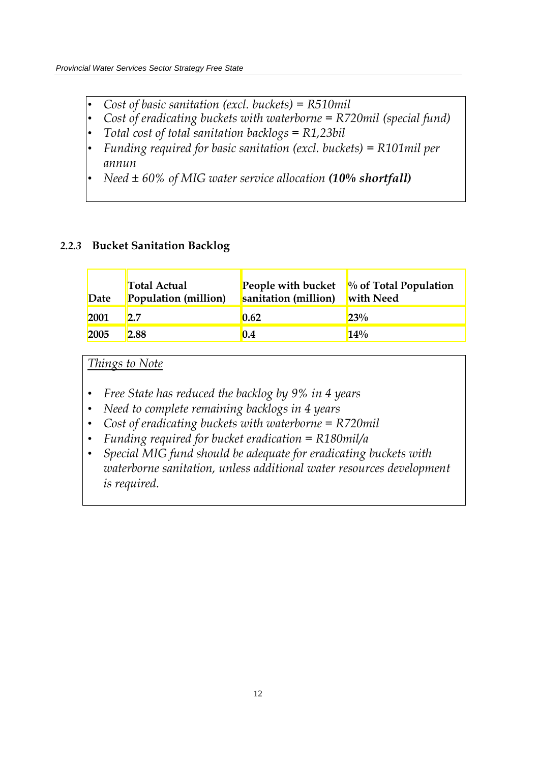- *Cost of basic sanitation (excl. buckets) = R510mil*
- *Cost of eradicating buckets with waterborne = R720mil (special fund)*
- *Total cost of total sanitation backlogs = R1,23bil*
- *Funding required for basic sanitation (excl. buckets) = R101mil per annun*
- *Need ± 60% of MIG water service allocation (10% shortfall)*

## *2.2.3* **Bucket Sanitation Backlog**

| Date | <b>Total Actual</b><br>Population (million) | sanitation (million) | <b>People with bucket</b> $\sqrt{\ }$ of Total Population<br><b>with Need</b> |
|------|---------------------------------------------|----------------------|-------------------------------------------------------------------------------|
| 2001 | 2.7                                         | 0.62                 | 23%                                                                           |
| 2005 | 2.88                                        | 0.4                  | $14\%$                                                                        |

*Things to Note*

- *Free State has reduced the backlog by 9% in 4 years*
- *Need to complete remaining backlogs in 4 years*
- *Cost of eradicating buckets with waterborne = R720mil*
- *Funding required for bucket eradication = R180mil/a*
- *Special MIG fund should be adequate for eradicating buckets with waterborne sanitation, unless additional water resources development is required.*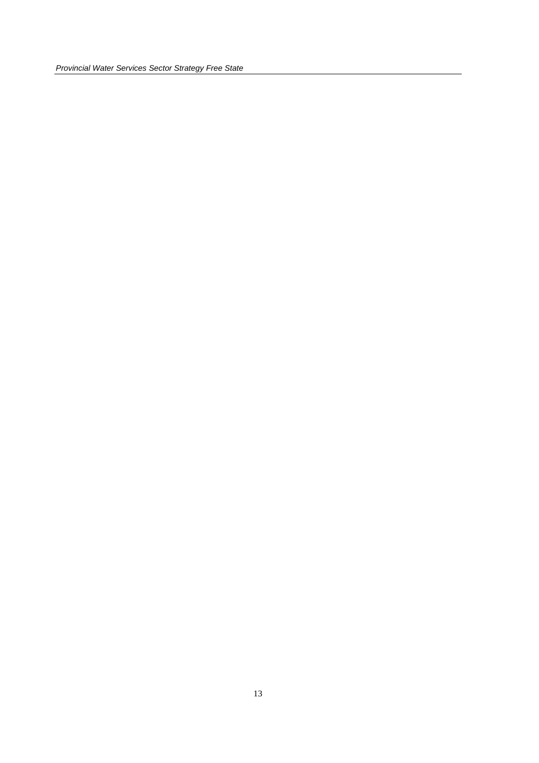*Provincial Water Services Sector Strategy Free State*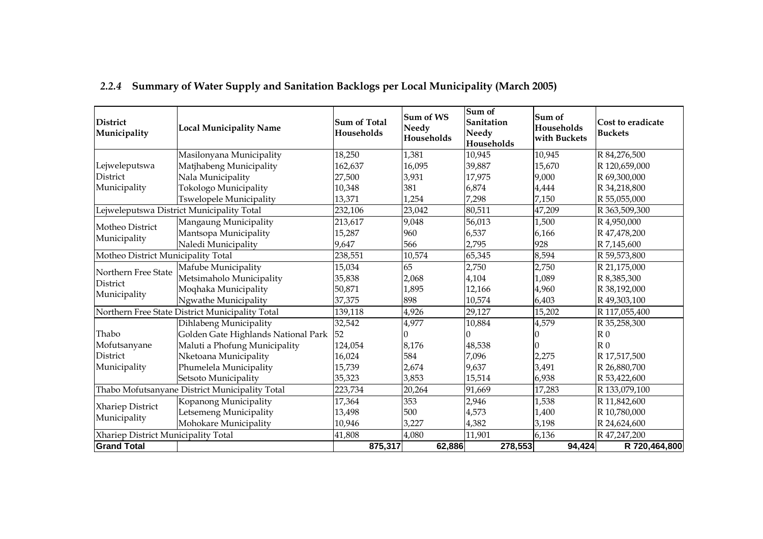| District<br>Municipality            | <b>Local Municipality Name</b>                  | <b>Sum of Total</b><br>Households | Sum of WS<br>Needy<br>Households | Sum of<br>Sanitation<br><b>Needy</b><br>Households | Sum of<br>Households<br>with Buckets | Cost to eradicate<br><b>Buckets</b> |
|-------------------------------------|-------------------------------------------------|-----------------------------------|----------------------------------|----------------------------------------------------|--------------------------------------|-------------------------------------|
|                                     | Masilonyana Municipality                        | 18,250                            | 1,381                            | 10,945                                             | 10,945                               | R 84,276,500                        |
| Lejweleputswa                       | Matjhabeng Municipality                         | 162,637                           | 16,095                           | 39,887                                             | 15,670                               | R 120,659,000                       |
| District                            | Nala Municipality                               | 27,500                            | 3,931                            | 17,975                                             | 9,000                                | R 69,300,000                        |
| Municipality                        | Tokologo Municipality                           | 10,348                            | 381                              | 6,874                                              | 4,444                                | R 34,218,800                        |
|                                     | <b>Tswelopele Municipality</b>                  | 13,371                            | 1,254                            | 7,298                                              | 7,150                                | R 55,055,000                        |
|                                     | Lejweleputswa District Municipality Total       | 232,106                           | 23,042                           | 80,511                                             | 47,209                               | R 363,509,300                       |
|                                     | Mangaung Municipality                           | 213,617                           | 9,048                            | 56,013                                             | 1,500                                | R 4,950,000                         |
| Motheo District                     | Mantsopa Municipality                           | 15,287                            | 960                              | 6,537                                              | 6,166                                | R 47,478,200                        |
| Municipality                        | Naledi Municipality                             | 9,647                             | 566                              | 2,795                                              | 928                                  | R 7,145,600                         |
| Motheo District Municipality Total  |                                                 | 238,551                           | 10,574                           | 65,345                                             | 8,594                                | R 59,573,800                        |
|                                     | Mafube Municipality                             | 15,034                            | 65                               | 2,750                                              | 2,750                                | R 21,175,000                        |
| Northern Free State                 | Metsimaholo Municipality                        | 35,838                            | 2,068                            | 4,104                                              | 1,089                                | R 8,385,300                         |
| District                            | Moqhaka Municipality                            | 50,871                            | 1,895                            | 12,166                                             | 4,960                                | R 38,192,000                        |
| Municipality                        | Ngwathe Municipality                            | 37,375                            | 898                              | 10,574                                             | 6,403                                | R 49,303,100                        |
|                                     | Northern Free State District Municipality Total | 139,118                           | 4,926                            | 29,127                                             | 15,202                               | R 117,055,400                       |
|                                     | Dihlabeng Municipality                          | 32,542                            | 4,977                            | 10,884                                             | 4,579                                | R 35,258,300                        |
| Thabo                               | Golden Gate Highlands National Park             | 52                                |                                  |                                                    |                                      | R <sub>0</sub>                      |
| Mofutsanyane                        | Maluti a Phofung Municipality                   | 124,054                           | 8,176                            | 48,538                                             |                                      | R <sub>0</sub>                      |
| District                            | Nketoana Municipality                           | 16,024                            | 584                              | 7,096                                              | 2,275                                | R 17,517,500                        |
| Municipality                        | Phumelela Municipality                          | 15,739                            | 2,674                            | 9,637                                              | 3,491                                | R 26,880,700                        |
|                                     | Setsoto Municipality                            | 35,323                            | 3,853                            | 15,514                                             | 6,938                                | R 53,422,600                        |
|                                     | Thabo Mofutsanyane District Municipality Total  | 223,734                           | 20,264                           | 91,669                                             | 17,283                               | R 133,079,100                       |
|                                     | Kopanong Municipality                           | 17,364                            | 353                              | 2,946                                              | 1,538                                | R 11,842,600                        |
| Xhariep District                    | Letsemeng Municipality                          | 13,498                            | 500                              | 4,573                                              | 1,400                                | R 10,780,000                        |
| Municipality                        | Mohokare Municipality                           | 10,946                            | 3,227                            | 4,382                                              | 3,198                                | R 24,624,600                        |
| Xhariep District Municipality Total |                                                 | 41,808                            | 4,080                            | 11,901                                             | 6,136                                | R 47,247,200                        |
| <b>Grand Total</b>                  |                                                 | 875,317                           | 62,886                           | 278,553                                            | $\overline{94,424}$                  | R 720,464,800                       |

# *2.2.4* **Summary of Water Supply and Sanitation Backlogs per Local Municipality (March 2005)**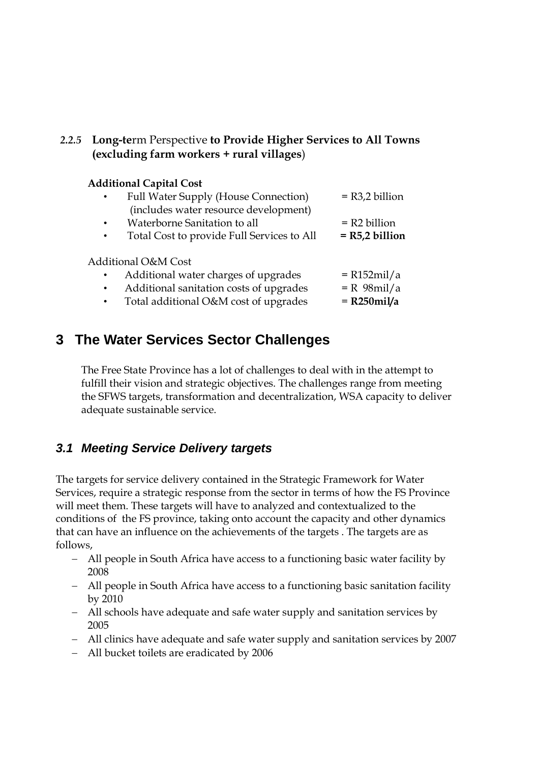# *2.2.5* **Long-te**rm Perspective **to Provide Higher Services to All Towns (excluding farm workers + rural villages**)

| <b>Additional Capital Cost</b> |                                             |                   |
|--------------------------------|---------------------------------------------|-------------------|
| $\bullet$                      | <b>Full Water Supply (House Connection)</b> | $=$ R3,2 billion  |
|                                | (includes water resource development)       |                   |
| $\bullet$                      | Waterborne Sanitation to all                | $=$ R2 billion    |
| $\bullet$                      | Total Cost to provide Full Services to All  | $=$ R5,2 billion  |
|                                |                                             |                   |
| <b>Additional O&amp;M Cost</b> |                                             |                   |
| $\bullet$                      | Additional water charges of upgrades        | $=$ R152mil/a     |
| $\bullet$                      | Additional sanitation costs of upgrades     | $=$ R 98mil/a     |
|                                | Total additional O&M cost of upgrades       | $=$ R250 $m$ il/a |

# **3 The Water Services Sector Challenges**

The Free State Province has a lot of challenges to deal with in the attempt to fulfill their vision and strategic objectives. The challenges range from meeting the SFWS targets, transformation and decentralization, WSA capacity to deliver adequate sustainable service.

# *3.1 Meeting Service Delivery targets*

The targets for service delivery contained in the Strategic Framework for Water Services, require a strategic response from the sector in terms of how the FS Province will meet them. These targets will have to analyzed and contextualized to the conditions of the FS province, taking onto account the capacity and other dynamics that can have an influence on the achievements of the targets . The targets are as follows,

- All people in South Africa have access to a functioning basic water facility by 2008
- All people in South Africa have access to a functioning basic sanitation facility by 2010
- All schools have adequate and safe water supply and sanitation services by 2005
- All clinics have adequate and safe water supply and sanitation services by 2007
- All bucket toilets are eradicated by 2006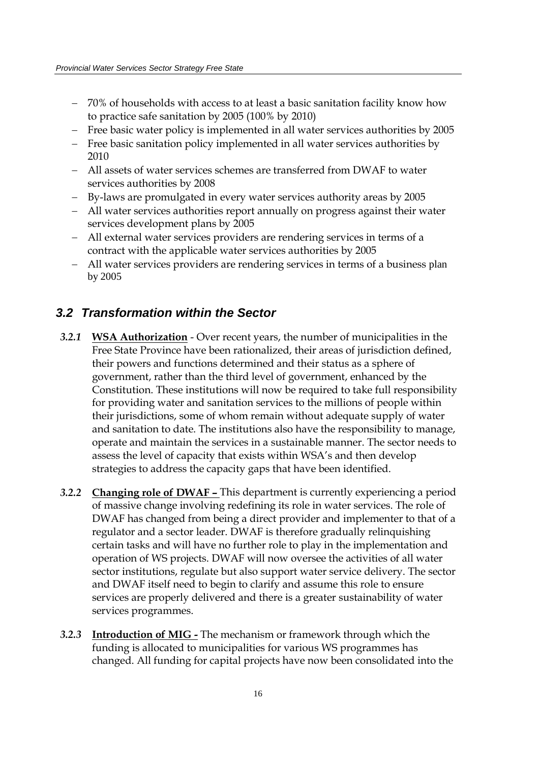- 70% of households with access to at least a basic sanitation facility know how to practice safe sanitation by 2005 (100% by 2010)
- Free basic water policy is implemented in all water services authorities by 2005
- Free basic sanitation policy implemented in all water services authorities by 2010
- All assets of water services schemes are transferred from DWAF to water services authorities by 2008
- By-laws are promulgated in every water services authority areas by 2005
- All water services authorities report annually on progress against their water services development plans by 2005
- All external water services providers are rendering services in terms of a contract with the applicable water services authorities by 2005
- All water services providers are rendering services in terms of a business plan by 2005

## *3.2 Transformation within the Sector*

- *3.2.1* **WSA Authorization** Over recent years, the number of municipalities in the Free State Province have been rationalized, their areas of jurisdiction defined, their powers and functions determined and their status as a sphere of government, rather than the third level of government, enhanced by the Constitution. These institutions will now be required to take full responsibility for providing water and sanitation services to the millions of people within their jurisdictions, some of whom remain without adequate supply of water and sanitation to date. The institutions also have the responsibility to manage, operate and maintain the services in a sustainable manner. The sector needs to assess the level of capacity that exists within WSA's and then develop strategies to address the capacity gaps that have been identified.
- *3.2.2* **Changing role of DWAF –** This department is currently experiencing a period of massive change involving redefining its role in water services. The role of DWAF has changed from being a direct provider and implementer to that of a regulator and a sector leader. DWAF is therefore gradually relinquishing certain tasks and will have no further role to play in the implementation and operation of WS projects. DWAF will now oversee the activities of all water sector institutions, regulate but also support water service delivery. The sector and DWAF itself need to begin to clarify and assume this role to ensure services are properly delivered and there is a greater sustainability of water services programmes.
- *3.2.3* **Introduction of MIG -** The mechanism or framework through which the funding is allocated to municipalities for various WS programmes has changed. All funding for capital projects have now been consolidated into the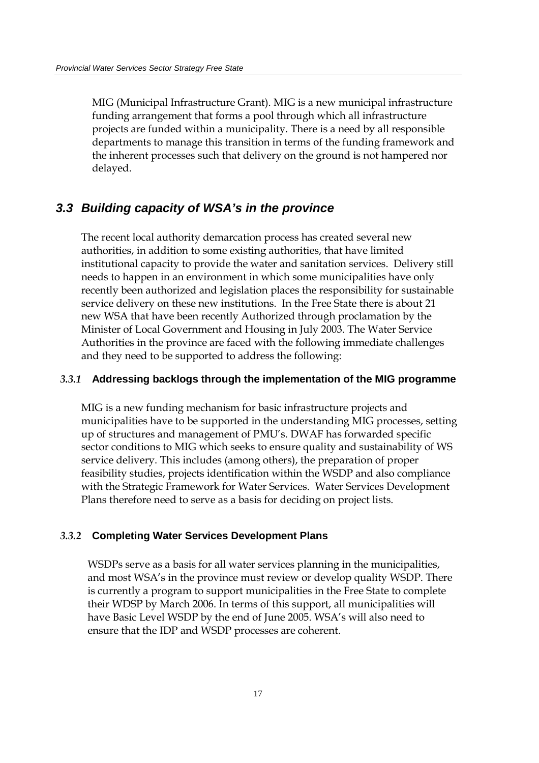MIG (Municipal Infrastructure Grant). MIG is a new municipal infrastructure funding arrangement that forms a pool through which all infrastructure projects are funded within a municipality. There is a need by all responsible departments to manage this transition in terms of the funding framework and the inherent processes such that delivery on the ground is not hampered nor delayed.

### *3.3 Building capacity of WSA's in the province*

The recent local authority demarcation process has created several new authorities, in addition to some existing authorities, that have limited institutional capacity to provide the water and sanitation services. Delivery still needs to happen in an environment in which some municipalities have only recently been authorized and legislation places the responsibility for sustainable service delivery on these new institutions. In the Free State there is about 21 new WSA that have been recently Authorized through proclamation by the Minister of Local Government and Housing in July 2003. The Water Service Authorities in the province are faced with the following immediate challenges and they need to be supported to address the following:

#### *3.3.1* **Addressing backlogs through the implementation of the MIG programme**

MIG is a new funding mechanism for basic infrastructure projects and municipalities have to be supported in the understanding MIG processes, setting up of structures and management of PMU's. DWAF has forwarded specific sector conditions to MIG which seeks to ensure quality and sustainability of WS service delivery. This includes (among others), the preparation of proper feasibility studies, projects identification within the WSDP and also compliance with the Strategic Framework for Water Services. Water Services Development Plans therefore need to serve as a basis for deciding on project lists.

#### *3.3.2* **Completing Water Services Development Plans**

WSDPs serve as a basis for all water services planning in the municipalities, and most WSA's in the province must review or develop quality WSDP. There is currently a program to support municipalities in the Free State to complete their WDSP by March 2006. In terms of this support, all municipalities will have Basic Level WSDP by the end of June 2005. WSA's will also need to ensure that the IDP and WSDP processes are coherent.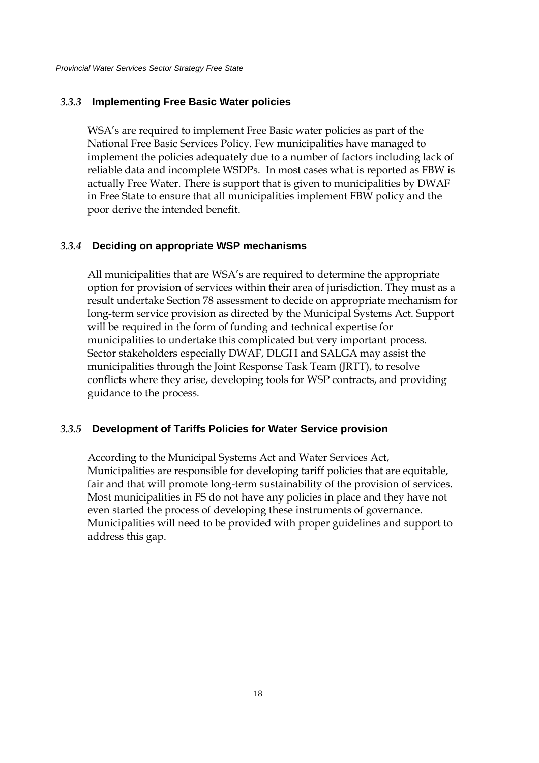#### *3.3.3* **Implementing Free Basic Water policies**

WSA's are required to implement Free Basic water policies as part of the National Free Basic Services Policy. Few municipalities have managed to implement the policies adequately due to a number of factors including lack of reliable data and incomplete WSDPs. In most cases what is reported as FBW is actually Free Water. There is support that is given to municipalities by DWAF in Free State to ensure that all municipalities implement FBW policy and the poor derive the intended benefit.

#### *3.3.4* **Deciding on appropriate WSP mechanisms**

All municipalities that are WSA's are required to determine the appropriate option for provision of services within their area of jurisdiction. They must as a result undertake Section 78 assessment to decide on appropriate mechanism for long-term service provision as directed by the Municipal Systems Act. Support will be required in the form of funding and technical expertise for municipalities to undertake this complicated but very important process. Sector stakeholders especially DWAF, DLGH and SALGA may assist the municipalities through the Joint Response Task Team (JRTT), to resolve conflicts where they arise, developing tools for WSP contracts, and providing guidance to the process.

#### *3.3.5* **Development of Tariffs Policies for Water Service provision**

According to the Municipal Systems Act and Water Services Act, Municipalities are responsible for developing tariff policies that are equitable, fair and that will promote long-term sustainability of the provision of services. Most municipalities in FS do not have any policies in place and they have not even started the process of developing these instruments of governance. Municipalities will need to be provided with proper guidelines and support to address this gap.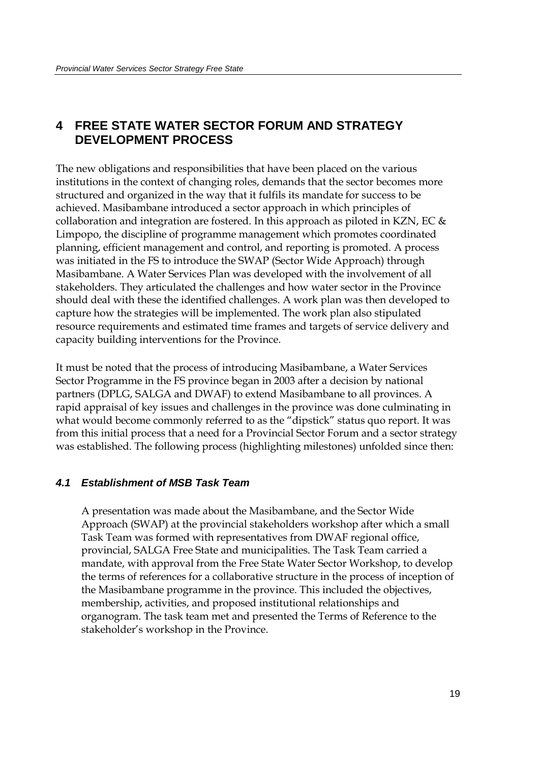# **4 FREE STATE WATER SECTOR FORUM AND STRATEGY DEVELOPMENT PROCESS**

The new obligations and responsibilities that have been placed on the various institutions in the context of changing roles, demands that the sector becomes more structured and organized in the way that it fulfils its mandate for success to be achieved. Masibambane introduced a sector approach in which principles of collaboration and integration are fostered. In this approach as piloted in KZN, EC & Limpopo, the discipline of programme management which promotes coordinated planning, efficient management and control, and reporting is promoted. A process was initiated in the FS to introduce the SWAP (Sector Wide Approach) through Masibambane. A Water Services Plan was developed with the involvement of all stakeholders. They articulated the challenges and how water sector in the Province should deal with these the identified challenges. A work plan was then developed to capture how the strategies will be implemented. The work plan also stipulated resource requirements and estimated time frames and targets of service delivery and capacity building interventions for the Province.

It must be noted that the process of introducing Masibambane, a Water Services Sector Programme in the FS province began in 2003 after a decision by national partners (DPLG, SALGA and DWAF) to extend Masibambane to all provinces. A rapid appraisal of key issues and challenges in the province was done culminating in what would become commonly referred to as the "dipstick" status quo report. It was from this initial process that a need for a Provincial Sector Forum and a sector strategy was established. The following process (highlighting milestones) unfolded since then:

### *4.1 Establishment of MSB Task Team*

A presentation was made about the Masibambane, and the Sector Wide Approach (SWAP) at the provincial stakeholders workshop after which a small Task Team was formed with representatives from DWAF regional office, provincial, SALGA Free State and municipalities. The Task Team carried a mandate, with approval from the Free State Water Sector Workshop, to develop the terms of references for a collaborative structure in the process of inception of the Masibambane programme in the province. This included the objectives, membership, activities, and proposed institutional relationships and organogram. The task team met and presented the Terms of Reference to the stakeholder's workshop in the Province.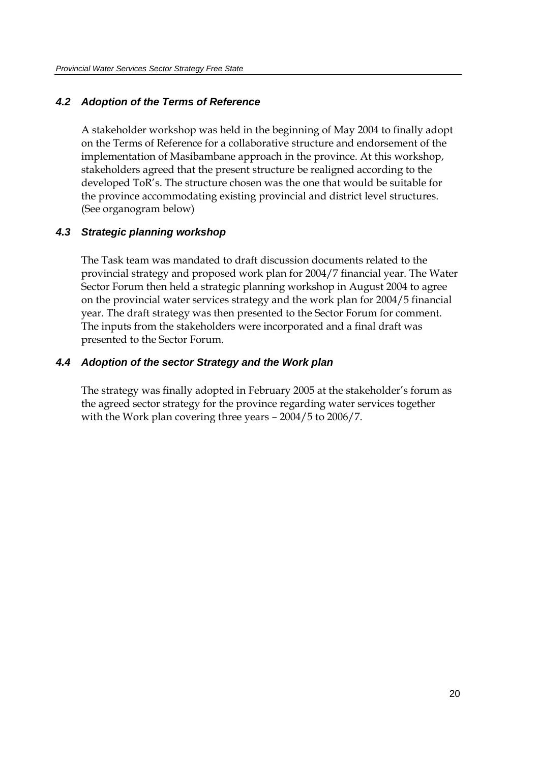#### *4.2 Adoption of the Terms of Reference*

A stakeholder workshop was held in the beginning of May 2004 to finally adopt on the Terms of Reference for a collaborative structure and endorsement of the implementation of Masibambane approach in the province. At this workshop, stakeholders agreed that the present structure be realigned according to the developed ToR's. The structure chosen was the one that would be suitable for the province accommodating existing provincial and district level structures. (See organogram below)

#### *4.3 Strategic planning workshop*

The Task team was mandated to draft discussion documents related to the provincial strategy and proposed work plan for 2004/7 financial year. The Water Sector Forum then held a strategic planning workshop in August 2004 to agree on the provincial water services strategy and the work plan for 2004/5 financial year. The draft strategy was then presented to the Sector Forum for comment. The inputs from the stakeholders were incorporated and a final draft was presented to the Sector Forum.

### *4.4 Adoption of the sector Strategy and the Work plan*

The strategy was finally adopted in February 2005 at the stakeholder's forum as the agreed sector strategy for the province regarding water services together with the Work plan covering three years – 2004/5 to 2006/7.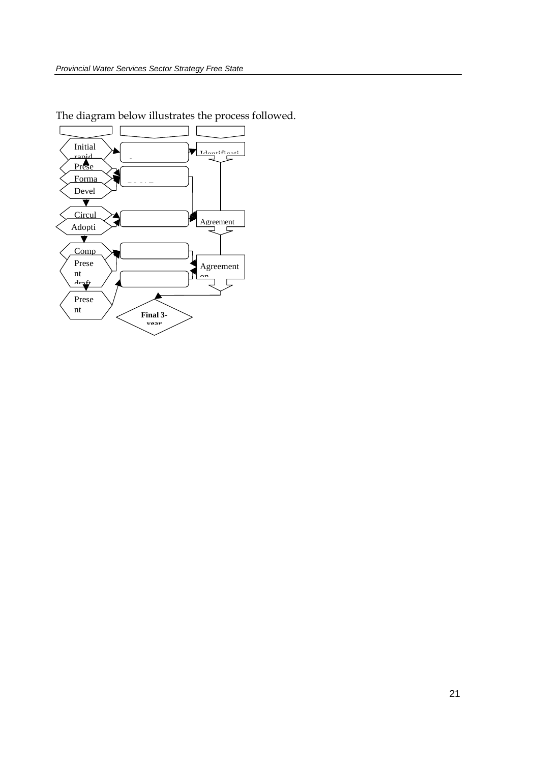

The diagram below illustrates the process followed.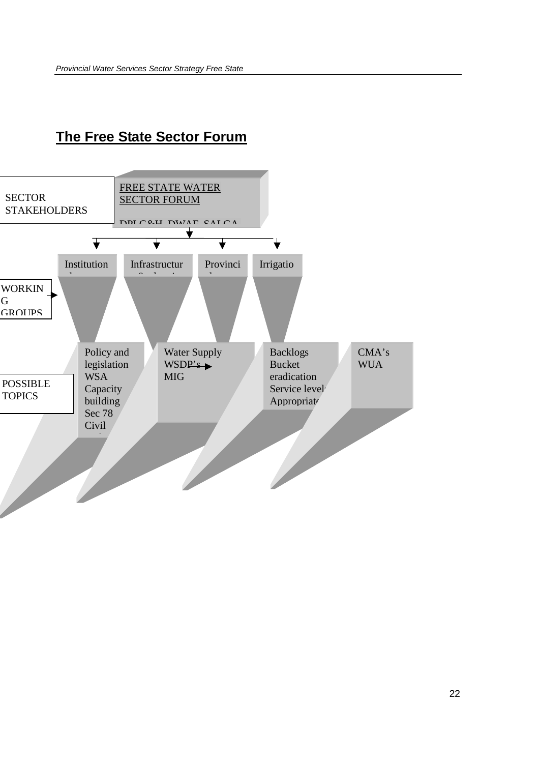# **The Free State Sector Forum**

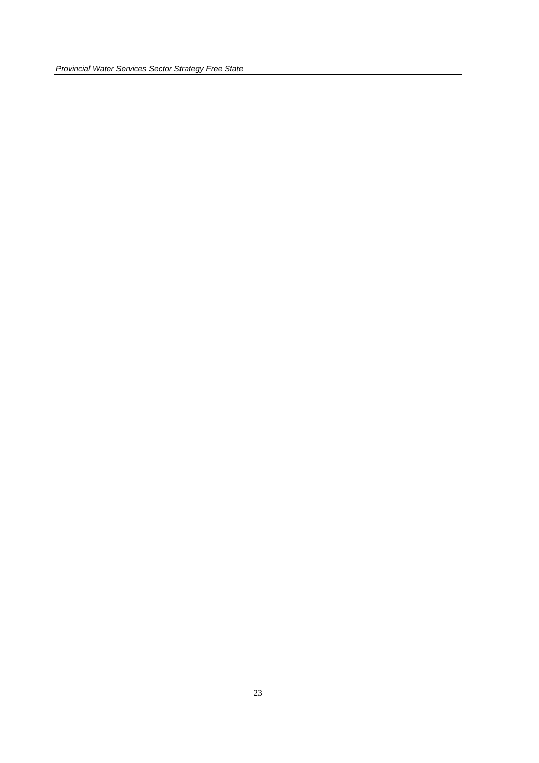*Provincial Water Services Sector Strategy Free State*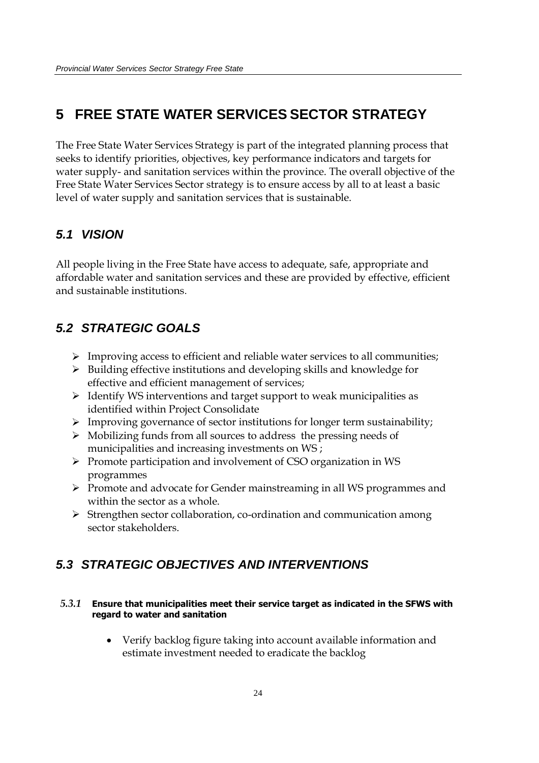# **5 FREE STATE WATER SERVICES SECTOR STRATEGY**

The Free State Water Services Strategy is part of the integrated planning process that seeks to identify priorities, objectives, key performance indicators and targets for water supply- and sanitation services within the province. The overall objective of the Free State Water Services Sector strategy is to ensure access by all to at least a basic level of water supply and sanitation services that is sustainable.

# *5.1 VISION*

All people living in the Free State have access to adequate, safe, appropriate and affordable water and sanitation services and these are provided by effective, efficient and sustainable institutions.

# *5.2 STRATEGIC GOALS*

- $\triangleright$  Improving access to efficient and reliable water services to all communities;
- $\triangleright$  Building effective institutions and developing skills and knowledge for effective and efficient management of services;
- $\triangleright$  Identify WS interventions and target support to weak municipalities as identified within Project Consolidate
- $\triangleright$  Improving governance of sector institutions for longer term sustainability;
- $\triangleright$  Mobilizing funds from all sources to address the pressing needs of municipalities and increasing investments on WS ;
- $\triangleright$  Promote participation and involvement of CSO organization in WS programmes
- $\triangleright$  Promote and advocate for Gender mainstreaming in all WS programmes and within the sector as a whole.
- $\triangleright$  Strengthen sector collaboration, co-ordination and communication among sector stakeholders.

# *5.3 STRATEGIC OBJECTIVES AND INTERVENTIONS*

#### *5.3.1* **Ensure that municipalities meet their service target as indicated in the SFWS with regard to water and sanitation**

 Verify backlog figure taking into account available information and estimate investment needed to eradicate the backlog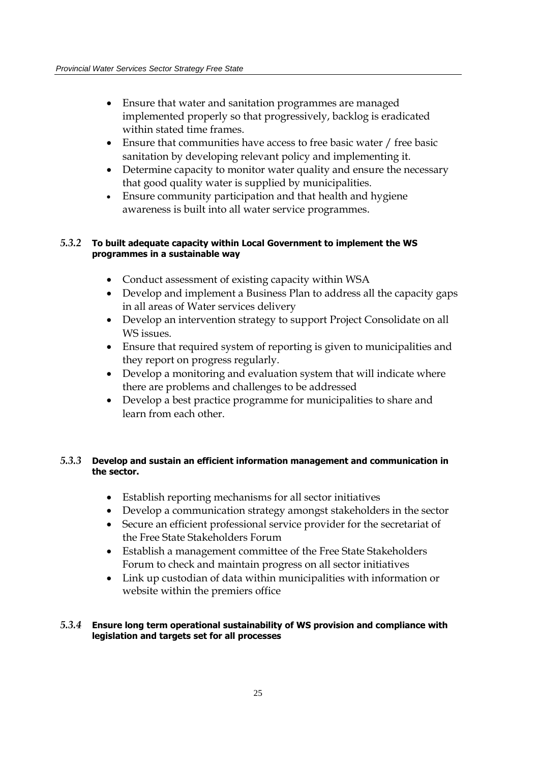- Ensure that water and sanitation programmes are managed implemented properly so that progressively, backlog is eradicated within stated time frames.
- Ensure that communities have access to free basic water / free basic sanitation by developing relevant policy and implementing it.
- Determine capacity to monitor water quality and ensure the necessary that good quality water is supplied by municipalities.
- Ensure community participation and that health and hygiene awareness is built into all water service programmes.

#### *5.3.2* **To built adequate capacity within Local Government to implement the WS programmes in a sustainable way**

- Conduct assessment of existing capacity within WSA
- Develop and implement a Business Plan to address all the capacity gaps in all areas of Water services delivery
- Develop an intervention strategy to support Project Consolidate on all WS issues.
- Ensure that required system of reporting is given to municipalities and they report on progress regularly.
- Develop a monitoring and evaluation system that will indicate where there are problems and challenges to be addressed
- Develop a best practice programme for municipalities to share and learn from each other.

#### *5.3.3* **Develop and sustain an efficient information management and communication in the sector.**

- Establish reporting mechanisms for all sector initiatives
- Develop a communication strategy amongst stakeholders in the sector
- Secure an efficient professional service provider for the secretariat of the Free State Stakeholders Forum
- Establish a management committee of the Free State Stakeholders Forum to check and maintain progress on all sector initiatives
- Link up custodian of data within municipalities with information or website within the premiers office

#### *5.3.4* **Ensure long term operational sustainability of WS provision and compliance with legislation and targets set for all processes**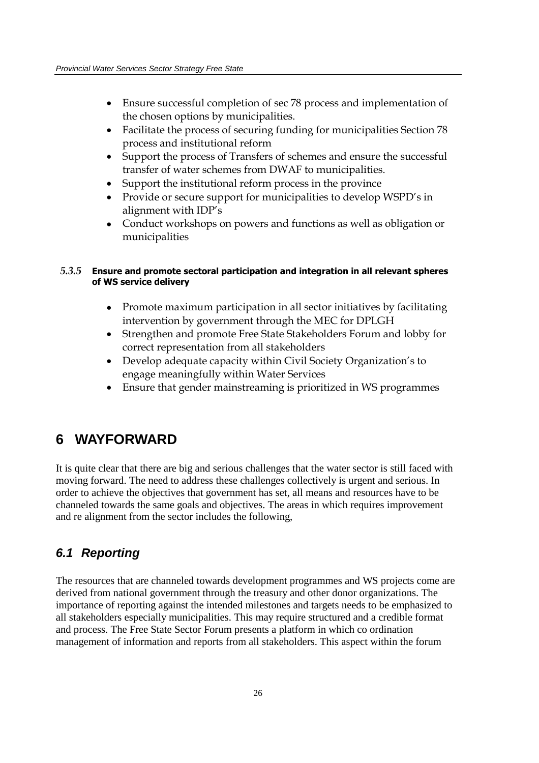- Ensure successful completion of sec 78 process and implementation of the chosen options by municipalities.
- Facilitate the process of securing funding for municipalities Section 78 process and institutional reform
- Support the process of Transfers of schemes and ensure the successful transfer of water schemes from DWAF to municipalities.
- Support the institutional reform process in the province
- Provide or secure support for municipalities to develop WSPD's in alignment with IDP's
- Conduct workshops on powers and functions as well as obligation or municipalities

#### *5.3.5* **Ensure and promote sectoral participation and integration in all relevant spheres of WS service delivery**

- Promote maximum participation in all sector initiatives by facilitating intervention by government through the MEC for DPLGH
- Strengthen and promote Free State Stakeholders Forum and lobby for correct representation from all stakeholders
- Develop adequate capacity within Civil Society Organization's to engage meaningfully within Water Services
- Ensure that gender mainstreaming is prioritized in WS programmes

# **6 WAYFORWARD**

It is quite clear that there are big and serious challenges that the water sector is still faced with moving forward. The need to address these challenges collectively is urgent and serious. In order to achieve the objectives that government has set, all means and resources have to be channeled towards the same goals and objectives. The areas in which requires improvement and re alignment from the sector includes the following,

## *6.1 Reporting*

The resources that are channeled towards development programmes and WS projects come are derived from national government through the treasury and other donor organizations. The importance of reporting against the intended milestones and targets needs to be emphasized to all stakeholders especially municipalities. This may require structured and a credible format and process. The Free State Sector Forum presents a platform in which co ordination management of information and reports from all stakeholders. This aspect within the forum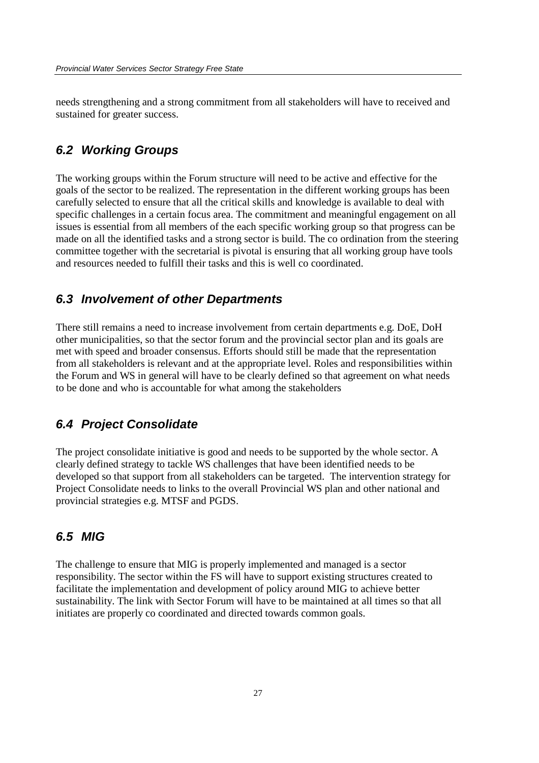needs strengthening and a strong commitment from all stakeholders will have to received and sustained for greater success.

## *6.2 Working Groups*

The working groups within the Forum structure will need to be active and effective for the goals of the sector to be realized. The representation in the different working groups has been carefully selected to ensure that all the critical skills and knowledge is available to deal with specific challenges in a certain focus area. The commitment and meaningful engagement on all issues is essential from all members of the each specific working group so that progress can be made on all the identified tasks and a strong sector is build. The co ordination from the steering committee together with the secretarial is pivotal is ensuring that all working group have tools and resources needed to fulfill their tasks and this is well co coordinated.

### *6.3 Involvement of other Departments*

There still remains a need to increase involvement from certain departments e.g. DoE, DoH other municipalities, so that the sector forum and the provincial sector plan and its goals are met with speed and broader consensus. Efforts should still be made that the representation from all stakeholders is relevant and at the appropriate level. Roles and responsibilities within the Forum and WS in general will have to be clearly defined so that agreement on what needs to be done and who is accountable for what among the stakeholders

### *6.4 Project Consolidate*

The project consolidate initiative is good and needs to be supported by the whole sector. A clearly defined strategy to tackle WS challenges that have been identified needs to be developed so that support from all stakeholders can be targeted. The intervention strategy for Project Consolidate needs to links to the overall Provincial WS plan and other national and provincial strategies e.g. MTSF and PGDS.

## *6.5 MIG*

The challenge to ensure that MIG is properly implemented and managed is a sector responsibility. The sector within the FS will have to support existing structures created to facilitate the implementation and development of policy around MIG to achieve better sustainability. The link with Sector Forum will have to be maintained at all times so that all initiates are properly co coordinated and directed towards common goals.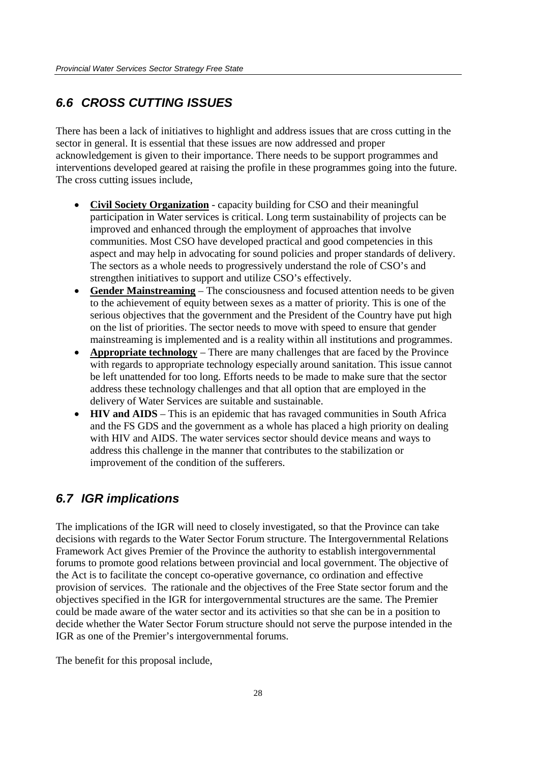# *6.6 CROSS CUTTING ISSUES*

There has been a lack of initiatives to highlight and address issues that are cross cutting in the sector in general. It is essential that these issues are now addressed and proper acknowledgement is given to their importance. There needs to be support programmes and interventions developed geared at raising the profile in these programmes going into the future. The cross cutting issues include,

- **Civil Society Organization** capacity building for CSO and their meaningful participation in Water services is critical. Long term sustainability of projects can be improved and enhanced through the employment of approaches that involve communities. Most CSO have developed practical and good competencies in this aspect and may help in advocating for sound policies and proper standards of delivery. The sectors as a whole needs to progressively understand the role of CSO's and strengthen initiatives to support and utilize CSO's effectively.
- **Gender Mainstreaming** The consciousness and focused attention needs to be given to the achievement of equity between sexes as a matter of priority. This is one of the serious objectives that the government and the President of the Country have put high on the list of priorities. The sector needs to move with speed to ensure that gender mainstreaming is implemented and is a reality within all institutions and programmes.
- **Appropriate technology** There are many challenges that are faced by the Province with regards to appropriate technology especially around sanitation. This issue cannot be left unattended for too long. Efforts needs to be made to make sure that the sector address these technology challenges and that all option that are employed in the delivery of Water Services are suitable and sustainable.
- **HIV and AIDS** This is an epidemic that has ravaged communities in South Africa and the FS GDS and the government as a whole has placed a high priority on dealing with HIV and AIDS. The water services sector should device means and ways to address this challenge in the manner that contributes to the stabilization or improvement of the condition of the sufferers.

# *6.7 IGR implications*

The implications of the IGR will need to closely investigated, so that the Province can take decisions with regards to the Water Sector Forum structure. The Intergovernmental Relations Framework Act gives Premier of the Province the authority to establish intergovernmental forums to promote good relations between provincial and local government. The objective of the Act is to facilitate the concept co-operative governance, co ordination and effective provision of services. The rationale and the objectives of the Free State sector forum and the objectives specified in the IGR for intergovernmental structures are the same. The Premier could be made aware of the water sector and its activities so that she can be in a position to decide whether the Water Sector Forum structure should not serve the purpose intended in the IGR as one of the Premier's intergovernmental forums.

The benefit for this proposal include,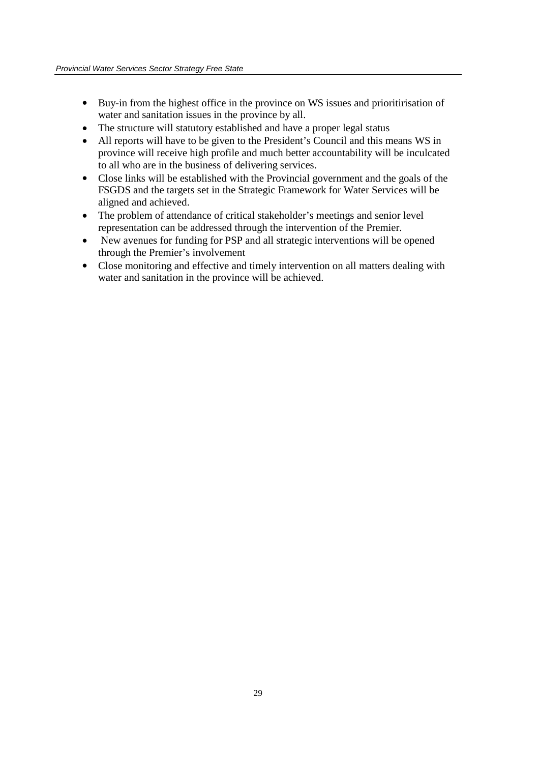- Buy-in from the highest office in the province on WS issues and prioritirisation of water and sanitation issues in the province by all.
- The structure will statutory established and have a proper legal status
- All reports will have to be given to the President's Council and this means WS in province will receive high profile and much better accountability will be inculcated to all who are in the business of delivering services.
- Close links will be established with the Provincial government and the goals of the FSGDS and the targets set in the Strategic Framework for Water Services will be aligned and achieved.
- The problem of attendance of critical stakeholder's meetings and senior level representation can be addressed through the intervention of the Premier.
- New avenues for funding for PSP and all strategic interventions will be opened through the Premier's involvement
- Close monitoring and effective and timely intervention on all matters dealing with water and sanitation in the province will be achieved.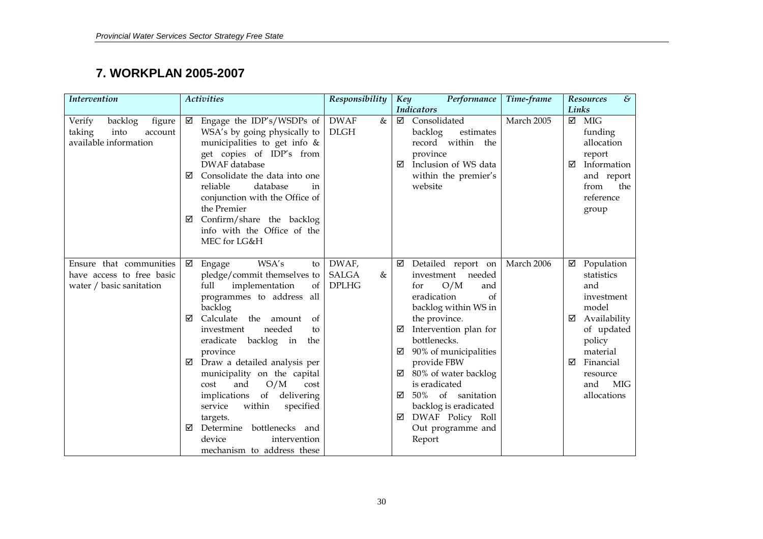# **7. WORKPLAN 2005-2007**

| <b>Intervention</b>                                                               | Activities                                                                                                                                                                                                                                                                                                                                                                                                                                                                                                                     | Responsibility                             | Key<br>Performance                                                                                                                                                                                                                                                                                                                                                                                | Time-frame | $\mathcal{E}$<br><b>Resources</b>                                                                                                                                               |
|-----------------------------------------------------------------------------------|--------------------------------------------------------------------------------------------------------------------------------------------------------------------------------------------------------------------------------------------------------------------------------------------------------------------------------------------------------------------------------------------------------------------------------------------------------------------------------------------------------------------------------|--------------------------------------------|---------------------------------------------------------------------------------------------------------------------------------------------------------------------------------------------------------------------------------------------------------------------------------------------------------------------------------------------------------------------------------------------------|------------|---------------------------------------------------------------------------------------------------------------------------------------------------------------------------------|
|                                                                                   |                                                                                                                                                                                                                                                                                                                                                                                                                                                                                                                                |                                            | <b>Indicators</b>                                                                                                                                                                                                                                                                                                                                                                                 |            | Links                                                                                                                                                                           |
| Verify<br>backlog<br>figure<br>taking<br>into<br>account<br>available information | Engage the IDP's/WSDPs of<br>☑<br>WSA's by going physically to<br>municipalities to get info &<br>get copies of IDP's from<br><b>DWAF</b> database<br>Consolidate the data into one<br>☑<br>reliable<br>database<br>in<br>conjunction with the Office of<br>the Premier<br>Confirm/share the backlog<br>☑<br>info with the Office of the<br>MEC for LG&H                                                                                                                                                                       | <b>DWAF</b><br>&<br><b>DLGH</b>            | ☑ Consolidated<br>backlog<br>estimates<br>record within the<br>province<br>Inclusion of WS data<br>☑<br>within the premier's<br>website                                                                                                                                                                                                                                                           | March 2005 | $\boxtimes$ MIG<br>funding<br>allocation<br>report<br>Information<br>☑<br>and report<br>from<br>the<br>reference<br>group                                                       |
| Ensure that communities<br>have access to free basic<br>water / basic sanitation  | WSA's<br>☑<br>Engage<br>to<br>pledge/commit themselves to<br>implementation<br>full<br>of<br>programmes to address all<br>backlog<br>Calculate the amount<br>☑<br>of<br>needed<br>investment<br>to<br>backlog in<br>eradicate<br>the<br>province<br>Draw a detailed analysis per<br>☑<br>municipality on the capital<br>O/M<br>and<br>cost<br>cost<br>of delivering<br>implications<br>within<br>specified<br>service<br>targets.<br>Determine<br>bottlenecks and<br>☑<br>device<br>intervention<br>mechanism to address these | DWAF,<br><b>SALGA</b><br>&<br><b>DPLHG</b> | Detailed report on<br>☑<br>investment needed<br>O/M<br>for<br>and<br>eradication<br>of<br>backlog within WS in<br>the province.<br>$\boxtimes$ Intervention plan for<br>bottlenecks.<br>90% of municipalities<br>☑<br>provide FBW<br>$\boxtimes$ 80% of water backlog<br>is eradicated<br>50% of sanitation<br>☑<br>backlog is eradicated<br>DWAF Policy Roll<br>☑<br>Out programme and<br>Report | March 2006 | Population<br>☑<br>statistics<br>and<br>investment<br>model<br>Availability<br>☑<br>of updated<br>policy<br>material<br>Financial<br>☑<br>resource<br>MIG<br>and<br>allocations |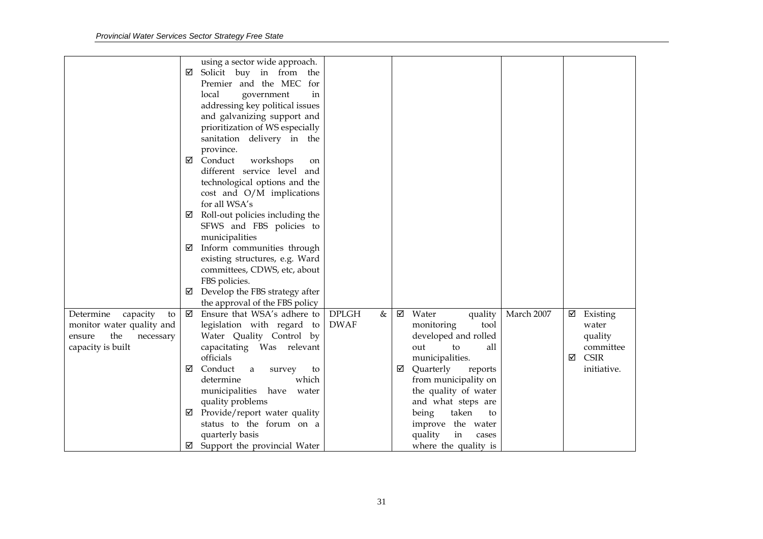|                             |   | using a sector wide approach.                 |                   |                                            |            |   |             |
|-----------------------------|---|-----------------------------------------------|-------------------|--------------------------------------------|------------|---|-------------|
|                             | ☑ | Solicit buy in from the                       |                   |                                            |            |   |             |
|                             |   | Premier and the MEC for                       |                   |                                            |            |   |             |
|                             |   | local<br>government<br>in                     |                   |                                            |            |   |             |
|                             |   | addressing key political issues               |                   |                                            |            |   |             |
|                             |   | and galvanizing support and                   |                   |                                            |            |   |             |
|                             |   | prioritization of WS especially               |                   |                                            |            |   |             |
|                             |   | sanitation delivery in the                    |                   |                                            |            |   |             |
|                             | ⊻ | province.<br>Conduct<br>workshops             |                   |                                            |            |   |             |
|                             |   | on<br>different service level and             |                   |                                            |            |   |             |
|                             |   | technological options and the                 |                   |                                            |            |   |             |
|                             |   | cost and O/M implications                     |                   |                                            |            |   |             |
|                             |   | for all WSA's                                 |                   |                                            |            |   |             |
|                             | ⊻ | Roll-out policies including the               |                   |                                            |            |   |             |
|                             |   | SFWS and FBS policies to                      |                   |                                            |            |   |             |
|                             |   | municipalities                                |                   |                                            |            |   |             |
|                             | ☑ | Inform communities through                    |                   |                                            |            |   |             |
|                             |   | existing structures, e.g. Ward                |                   |                                            |            |   |             |
|                             |   | committees, CDWS, etc, about                  |                   |                                            |            |   |             |
|                             |   | FBS policies.                                 |                   |                                            |            |   |             |
|                             | ☑ | Develop the FBS strategy after                |                   |                                            |            |   |             |
|                             |   | the approval of the FBS policy                |                   |                                            |            |   |             |
| Determine<br>capacity<br>to | ☑ | Ensure that WSA's adhere to                   | <b>DPLGH</b><br>& | Water<br>☑<br>quality                      | March 2007 | ☑ | Existing    |
| monitor water quality and   |   | legislation with regard to                    | <b>DWAF</b>       | monitoring<br>tool                         |            |   | water       |
| the<br>necessary<br>ensure  |   | Water Quality Control by                      |                   | developed and rolled                       |            |   | quality     |
| capacity is built           |   | capacitating Was relevant                     |                   | all<br>out<br>to                           |            |   | committee   |
|                             |   | officials                                     |                   | municipalities.                            |            | ☑ | <b>CSIR</b> |
|                             | ☑ | Conduct<br>a<br>survey<br>to                  |                   | Quarterly<br>☑<br>reports                  |            |   | initiative. |
|                             |   | determine<br>which                            |                   | from municipality on                       |            |   |             |
|                             |   | municipalities have water<br>quality problems |                   | the quality of water<br>and what steps are |            |   |             |
|                             |   | $\boxtimes$ Provide/report water quality      |                   | taken<br>being<br>to                       |            |   |             |
|                             |   | status to the forum on a                      |                   | improve the water                          |            |   |             |
|                             |   | quarterly basis                               |                   | quality<br>in<br>cases                     |            |   |             |
|                             | ☑ | Support the provincial Water                  |                   | where the quality is                       |            |   |             |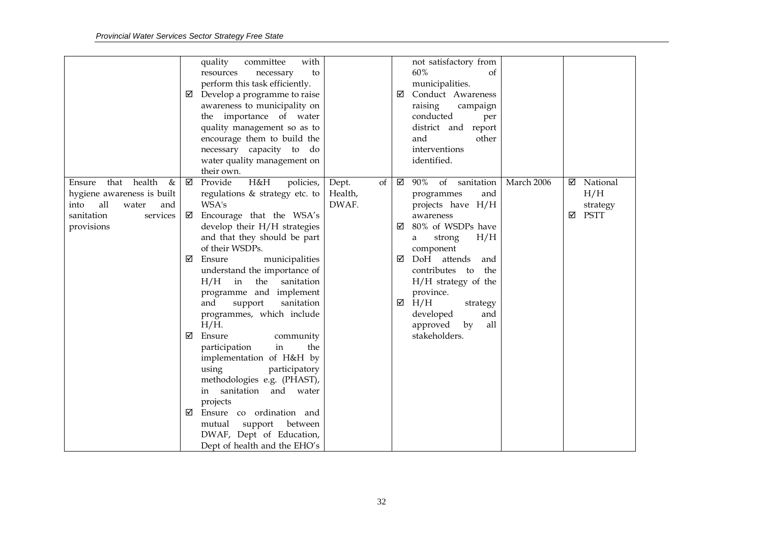|                                                           | ☑ | with<br>quality<br>committee<br>resources<br>necessary<br>to<br>perform this task efficiently.<br>Develop a programme to raise<br>awareness to municipality on<br>the importance of water<br>quality management so as to<br>encourage them to build the<br>necessary capacity to do<br>water quality management on<br>their own. |                  |    | ☑ | not satisfactory from<br>60%<br><sub>of</sub><br>municipalities.<br>Conduct Awareness<br>raising<br>campaign<br>conducted<br>per<br>district and report<br>and<br>other<br>interventions<br>identified. |            |   |                 |
|-----------------------------------------------------------|---|----------------------------------------------------------------------------------------------------------------------------------------------------------------------------------------------------------------------------------------------------------------------------------------------------------------------------------|------------------|----|---|---------------------------------------------------------------------------------------------------------------------------------------------------------------------------------------------------------|------------|---|-----------------|
| that health<br>$\&$<br>Ensure                             | ☑ | Provide<br>H&H<br>policies,                                                                                                                                                                                                                                                                                                      | Dept.            | of | ☑ | 90%<br>of sanitation                                                                                                                                                                                    | March 2006 |   | ☑ National      |
| hygiene awareness is built<br>into<br>all<br>water<br>and |   | regulations & strategy etc. to<br>WSA's                                                                                                                                                                                                                                                                                          | Health,<br>DWAF. |    |   | programmes<br>and<br>projects have H/H                                                                                                                                                                  |            |   | H/H<br>strategy |
| sanitation<br>services                                    | ☑ | Encourage that the WSA's                                                                                                                                                                                                                                                                                                         |                  |    |   | awareness                                                                                                                                                                                               |            | ☑ | <b>PSTT</b>     |
| provisions                                                |   | develop their H/H strategies                                                                                                                                                                                                                                                                                                     |                  |    | ☑ | 80% of WSDPs have                                                                                                                                                                                       |            |   |                 |
|                                                           |   | and that they should be part                                                                                                                                                                                                                                                                                                     |                  |    |   | H/H<br>strong<br>a                                                                                                                                                                                      |            |   |                 |
|                                                           |   | of their WSDPs.                                                                                                                                                                                                                                                                                                                  |                  |    |   | component                                                                                                                                                                                               |            |   |                 |
|                                                           | ☑ | municipalities<br>Ensure                                                                                                                                                                                                                                                                                                         |                  |    | ☑ | DoH attends<br>and                                                                                                                                                                                      |            |   |                 |
|                                                           |   | understand the importance of                                                                                                                                                                                                                                                                                                     |                  |    |   | contributes to the                                                                                                                                                                                      |            |   |                 |
|                                                           |   | H/H in the sanitation                                                                                                                                                                                                                                                                                                            |                  |    |   | $H/H$ strategy of the                                                                                                                                                                                   |            |   |                 |
|                                                           |   | programme and implement<br>support<br>sanitation<br>and                                                                                                                                                                                                                                                                          |                  |    |   | province.<br>$\boxtimes$ H/H                                                                                                                                                                            |            |   |                 |
|                                                           |   | programmes, which include                                                                                                                                                                                                                                                                                                        |                  |    |   | strategy<br>developed<br>and                                                                                                                                                                            |            |   |                 |
|                                                           |   | $H/H$ .                                                                                                                                                                                                                                                                                                                          |                  |    |   | all<br>approved<br>by                                                                                                                                                                                   |            |   |                 |
|                                                           | ☑ | Ensure<br>community                                                                                                                                                                                                                                                                                                              |                  |    |   | stakeholders.                                                                                                                                                                                           |            |   |                 |
|                                                           |   | participation<br>in<br>the                                                                                                                                                                                                                                                                                                       |                  |    |   |                                                                                                                                                                                                         |            |   |                 |
|                                                           |   | implementation of H&H by                                                                                                                                                                                                                                                                                                         |                  |    |   |                                                                                                                                                                                                         |            |   |                 |
|                                                           |   | using<br>participatory                                                                                                                                                                                                                                                                                                           |                  |    |   |                                                                                                                                                                                                         |            |   |                 |
|                                                           |   | methodologies e.g. (PHAST),                                                                                                                                                                                                                                                                                                      |                  |    |   |                                                                                                                                                                                                         |            |   |                 |
|                                                           |   | sanitation and water<br>in                                                                                                                                                                                                                                                                                                       |                  |    |   |                                                                                                                                                                                                         |            |   |                 |
|                                                           | ☑ | projects<br>Ensure co ordination and                                                                                                                                                                                                                                                                                             |                  |    |   |                                                                                                                                                                                                         |            |   |                 |
|                                                           |   | support between<br>mutual                                                                                                                                                                                                                                                                                                        |                  |    |   |                                                                                                                                                                                                         |            |   |                 |
|                                                           |   | DWAF, Dept of Education,                                                                                                                                                                                                                                                                                                         |                  |    |   |                                                                                                                                                                                                         |            |   |                 |
|                                                           |   | Dept of health and the EHO's                                                                                                                                                                                                                                                                                                     |                  |    |   |                                                                                                                                                                                                         |            |   |                 |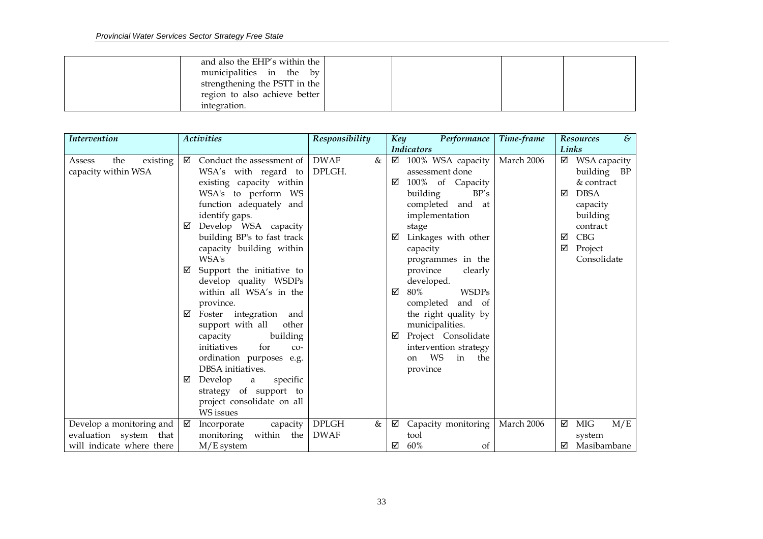#### *Provincial Water Services Sector Strategy Free State*

| and also the EHP's within the |  |  |
|-------------------------------|--|--|
| municipalities in the by      |  |  |
| strengthening the PSTT in the |  |  |
| region to also achieve better |  |  |
| integration.                  |  |  |

| <b>Intervention</b>                                 | Activities                                                                                                                                                                                                                                                                                                                                 | Responsibility             | Performance<br>Key                                                                                                                                                                                         | Time-frame | $\mathcal{E}$<br><b>Resources</b>                   |
|-----------------------------------------------------|--------------------------------------------------------------------------------------------------------------------------------------------------------------------------------------------------------------------------------------------------------------------------------------------------------------------------------------------|----------------------------|------------------------------------------------------------------------------------------------------------------------------------------------------------------------------------------------------------|------------|-----------------------------------------------------|
|                                                     |                                                                                                                                                                                                                                                                                                                                            |                            | <i>Indicators</i>                                                                                                                                                                                          |            | Links                                               |
| the<br>existing<br>Assess<br>capacity within WSA    | Conduct the assessment of<br>☑<br>WSA's with regard to<br>existing capacity within                                                                                                                                                                                                                                                         | <b>DWAF</b><br>&<br>DPLGH. | 100% WSA capacity<br>☑<br>assessment done<br>100% of Capacity<br>☑                                                                                                                                         | March 2006 | WSA capacity<br>☑<br>building BP<br>& contract      |
|                                                     | WSA's to perform WS<br>function adequately and<br>identify gaps.                                                                                                                                                                                                                                                                           |                            | building<br>BP's<br>completed and<br>- at<br>implementation                                                                                                                                                |            | <b>DBSA</b><br>☑<br>capacity<br>building            |
|                                                     | Develop WSA capacity<br>☑<br>building BP's to fast track<br>capacity building within<br>WSA's<br>Support the initiative to<br>☑                                                                                                                                                                                                            |                            | stage<br>Linkages with other<br>☑<br>capacity<br>programmes in the<br>province<br>clearly                                                                                                                  |            | contract<br>CBG<br>☑<br>Project<br>☑<br>Consolidate |
|                                                     | develop quality WSDPs<br>within all WSA's in the<br>province.<br>Foster integration<br>☑<br>and<br>support with all<br>other<br>building<br>capacity<br>for<br>initiatives<br>$CO-$<br>ordination purposes e.g.<br>DBSA initiatives.<br>Develop<br>☑<br>specific<br>a<br>strategy of support to<br>project consolidate on all<br>WS issues |                            | developed.<br>80%<br><b>WSDPs</b><br>☑<br>completed and of<br>the right quality by<br>municipalities.<br>Project Consolidate<br>☑<br>intervention strategy<br>WS<br>in<br>the<br><sub>on</sub><br>province |            |                                                     |
| Develop a monitoring and                            | ☑<br>capacity<br>Incorporate                                                                                                                                                                                                                                                                                                               | <b>DPLGH</b><br>&          | Capacity monitoring<br>☑                                                                                                                                                                                   | March 2006 | MIG<br>M/E<br>☑                                     |
| evaluation system that<br>will indicate where there | monitoring<br>within the<br>$M/E$ system                                                                                                                                                                                                                                                                                                   | <b>DWAF</b>                | tool<br>60%<br>☑<br>of                                                                                                                                                                                     |            | system<br>Masibambane<br>☑                          |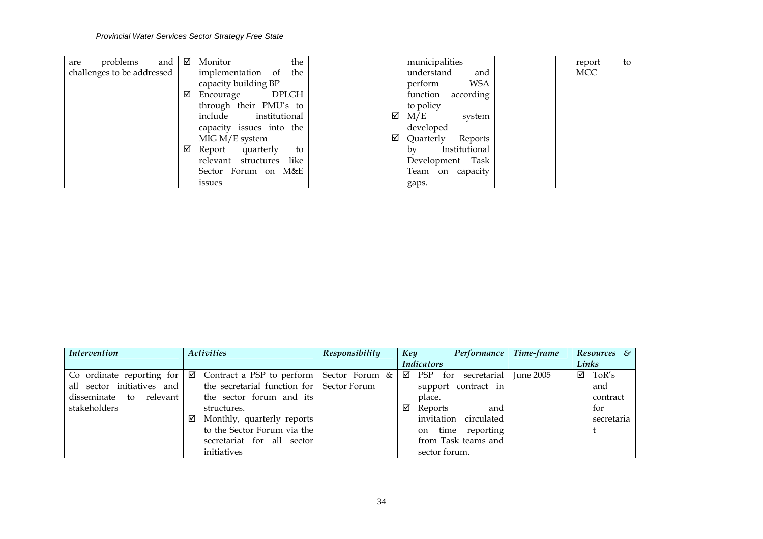| are | problems and $\Box$        |   | the '<br>Monitor         |   | municipalities                           | report     | to 1 |
|-----|----------------------------|---|--------------------------|---|------------------------------------------|------------|------|
|     | challenges to be addressed |   | implementation of the    |   | understand<br>and                        | <b>MCC</b> |      |
|     |                            |   | capacity building BP     |   | WSA<br>perform                           |            |      |
|     |                            | ☑ | Encourage DPLGH          |   | function according                       |            |      |
|     |                            |   | through their PMU's to   |   | to policy                                |            |      |
|     |                            |   | include institutional    | ☑ | M/E<br>system                            |            |      |
|     |                            |   | capacity issues into the |   | developed                                |            |      |
|     |                            |   | MIG $M/E$ system         | ☑ | Quarterly Reports                        |            |      |
|     |                            | ☑ | Report quarterly<br>to   |   | Institutional<br>$\mathbf{b} \mathbf{v}$ |            |      |
|     |                            |   | relevant structures like |   | Development Task                         |            |      |
|     |                            |   | Sector Forum on M&E      |   | Team on capacity                         |            |      |
|     |                            |   | issues                   |   | gaps.                                    |            |      |

| Intervention                      |   | <b>Activities</b>                                                                        | Responsibility |   | Key               |                       | Performance Time-frame |            | Resources & |
|-----------------------------------|---|------------------------------------------------------------------------------------------|----------------|---|-------------------|-----------------------|------------------------|------------|-------------|
|                                   |   |                                                                                          |                |   | <b>Indicators</b> |                       |                        | Links      |             |
| Co ordinate reporting for $\vert$ |   | ⊠ Contract a PSP to perform   Sector Forum & $\boxtimes$ PSP for secretarial   June 2005 |                |   |                   |                       |                        | ToR's<br>☑ |             |
| all sector initiatives and        |   | the secretarial function for Sector Forum                                                |                |   |                   | support contract in   |                        | and        |             |
| disseminate to relevant           |   | the sector forum and its                                                                 |                |   | place.            |                       |                        |            | contract    |
| stakeholders                      |   | structures.                                                                              |                | ☑ | Reports           | and                   |                        | for        |             |
|                                   | ☑ | Monthly, quarterly reports                                                               |                |   |                   | invitation circulated |                        |            | secretaria  |
|                                   |   | to the Sector Forum via the                                                              |                |   |                   | on time reporting     |                        |            |             |
|                                   |   | secretariat for all sector                                                               |                |   |                   | from Task teams and   |                        |            |             |
|                                   |   | initiatives                                                                              |                |   | sector forum.     |                       |                        |            |             |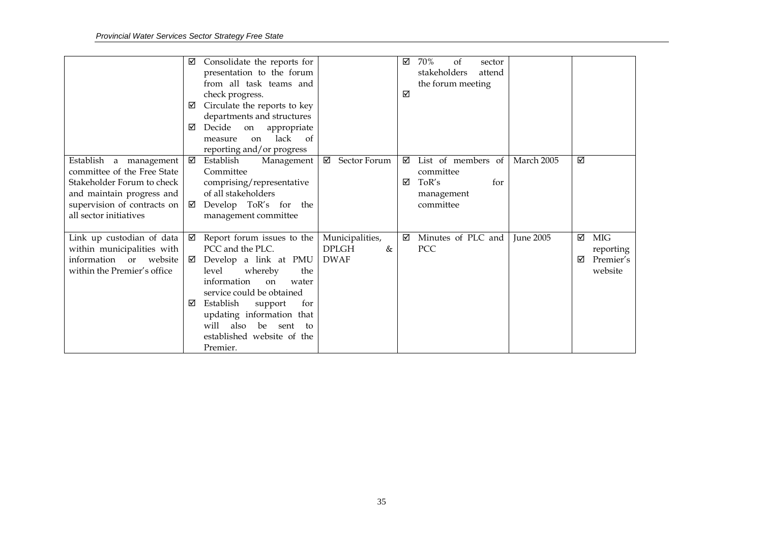|                             | ☑ | Consolidate the reports for           |                   | ☑ | 70%<br>of<br>sector    |            |   |            |
|-----------------------------|---|---------------------------------------|-------------------|---|------------------------|------------|---|------------|
|                             |   | presentation to the forum             |                   |   | stakeholders<br>attend |            |   |            |
|                             |   | from all task teams and               |                   |   | the forum meeting      |            |   |            |
|                             |   | check progress.                       |                   | ☑ |                        |            |   |            |
|                             | ⊻ | Circulate the reports to key          |                   |   |                        |            |   |            |
|                             |   | departments and structures            |                   |   |                        |            |   |            |
|                             | ☑ | Decide<br>appropriate<br>on           |                   |   |                        |            |   |            |
|                             |   | lack of<br>on<br>measure              |                   |   |                        |            |   |            |
|                             |   | reporting and/or progress             |                   |   |                        |            |   |            |
| Establish a management      | ☑ | Establish<br>Management               | ☑<br>Sector Forum | ☑ | List of members of     | March 2005 | ☑ |            |
| committee of the Free State |   | Committee                             |                   |   | committee              |            |   |            |
| Stakeholder Forum to check  |   | comprising/representative             |                   | ☑ | ToR's<br>for           |            |   |            |
| and maintain progress and   |   | of all stakeholders                   |                   |   | management             |            |   |            |
| supervision of contracts on | ☑ | Develop ToR's for the                 |                   |   | committee              |            |   |            |
| all sector initiatives      |   | management committee                  |                   |   |                        |            |   |            |
|                             |   |                                       |                   |   |                        |            |   |            |
| Link up custodian of data   | ☑ | Report forum issues to the            | Municipalities,   | ☑ | Minutes of PLC and     | June 2005  | ☑ | <b>MIG</b> |
| within municipalities with  |   | PCC and the PLC.                      | <b>DPLGH</b><br>& |   | PCC                    |            |   | reporting  |
| information or website      | ☑ | Develop a link at PMU                 | <b>DWAF</b>       |   |                        |            | ⊠ | Premier's  |
| within the Premier's office |   | level<br>whereby<br>the               |                   |   |                        |            |   | website    |
|                             |   | information<br><sub>on</sub><br>water |                   |   |                        |            |   |            |
|                             |   | service could be obtained             |                   |   |                        |            |   |            |
|                             | ☑ | Establish<br>support<br>for           |                   |   |                        |            |   |            |
|                             |   | updating information that             |                   |   |                        |            |   |            |
|                             |   | also<br>be sent<br>will<br>to         |                   |   |                        |            |   |            |
|                             |   | established website of the            |                   |   |                        |            |   |            |
|                             |   | Premier.                              |                   |   |                        |            |   |            |
|                             |   |                                       |                   |   |                        |            |   |            |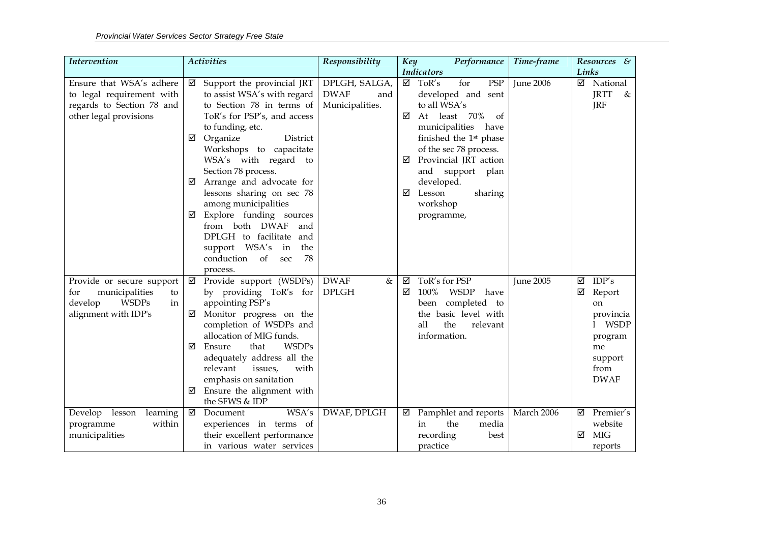| <b>Intervention</b>                                                                                                                   | Activities                                                                                                                                                                                                                                                                                                                                                                                                                                                                                                 | Responsibility                                         | Performance<br>Key                                                                                                                                                                                                                                                                                                                        | Time-frame<br>Resources &<br>Links                                                                                                                            |
|---------------------------------------------------------------------------------------------------------------------------------------|------------------------------------------------------------------------------------------------------------------------------------------------------------------------------------------------------------------------------------------------------------------------------------------------------------------------------------------------------------------------------------------------------------------------------------------------------------------------------------------------------------|--------------------------------------------------------|-------------------------------------------------------------------------------------------------------------------------------------------------------------------------------------------------------------------------------------------------------------------------------------------------------------------------------------------|---------------------------------------------------------------------------------------------------------------------------------------------------------------|
| Ensure that WSA's adhere<br>to legal requirement with<br>regards to Section 78 and<br>other legal provisions                          | Support the provincial JRT<br>☑<br>to assist WSA's with regard<br>to Section 78 in terms of<br>ToR's for PSP's, and access<br>to funding, etc.<br>Organize<br>☑<br>District<br>Workshops to capacitate<br>WSA's with regard to<br>Section 78 process.<br>Arrange and advocate for<br>⊻<br>lessons sharing on sec 78<br>among municipalities<br>Explore funding sources<br>☑<br>from both DWAF<br>and<br>DPLGH to facilitate<br>and<br>support WSA's in<br>the<br>conduction<br>of<br>78<br>sec<br>process. | DPLGH, SALGA,<br><b>DWAF</b><br>and<br>Municipalities. | <b>Indicators</b><br>$\boxtimes$ ToR's<br>for<br>PSP<br>developed and sent<br>to all WSA's<br>At least<br>70%<br>of<br>☑<br>municipalities<br>have<br>finished the 1 <sup>st</sup> phase<br>of the sec 78 process.<br>Provincial JRT action<br>☑<br>and support<br>plan<br>developed.<br>Lesson<br>sharing<br>☑<br>workshop<br>programme, | <b>June 2006</b><br>National<br>☑<br><b>JRTT</b><br>&<br>JRF                                                                                                  |
| Provide or secure support<br>municipalities<br>for<br>to<br>develop<br>WSDPs<br>in<br>alignment with IDP's<br>Develop lesson learning | Provide support (WSDPs)<br>☑<br>by providing ToR's for<br>appointing PSP's<br>Monitor progress on the<br>⊻<br>completion of WSDPs and<br>allocation of MIG funds.<br><b>WSDPs</b><br>Ensure<br>that<br>☑<br>adequately address all the<br>relevant<br>with<br>issues,<br>emphasis on sanitation<br>Ensure the alignment with<br>☑<br>the SFWS & IDP<br>☑<br>WSA's<br>Document                                                                                                                              | <b>DWAF</b><br>$\&$<br><b>DPLGH</b><br>DWAF, DPLGH     | ToR's for PSP<br>☑<br><b>WSDP</b><br>100%<br>have<br>☑<br>completed to<br>been<br>the basic level with<br>the<br>all<br>relevant<br>information.<br>Pamphlet and reports<br>☑                                                                                                                                                             | IDP's<br><b>June 2005</b><br>☑<br>☑<br>Report<br>on<br>provincia<br>1 WSDP<br>program<br>me<br>support<br>from<br><b>DWAF</b><br>March 2006<br>Premier's<br>☑ |
| within<br>programme<br>municipalities                                                                                                 | experiences in terms of<br>their excellent performance<br>in various water services                                                                                                                                                                                                                                                                                                                                                                                                                        |                                                        | the<br>media<br>in<br>recording<br>best<br>practice                                                                                                                                                                                                                                                                                       | website<br><b>MIG</b><br>☑<br>reports                                                                                                                         |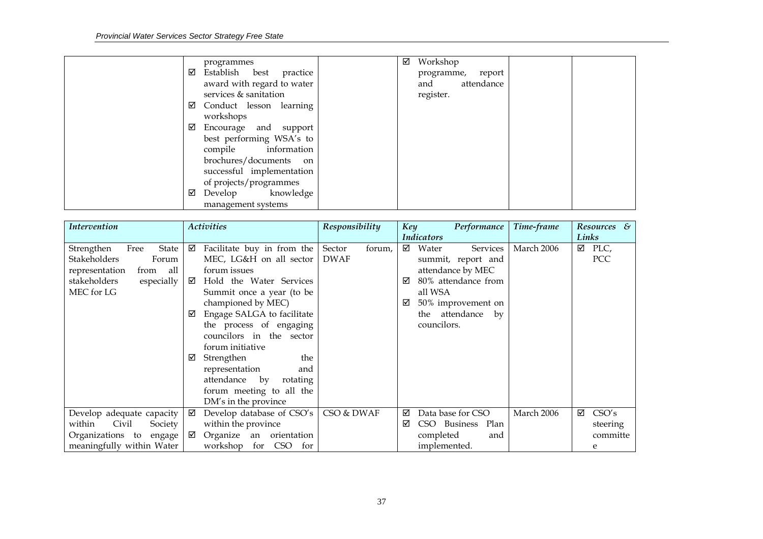|   | programmes                 |  | $\boxtimes$ Workshop |            |  |
|---|----------------------------|--|----------------------|------------|--|
| ☑ | Establish best practice    |  | programme, report    |            |  |
|   | award with regard to water |  | and                  | attendance |  |
|   | services & sanitation      |  | register.            |            |  |
| ☑ | Conduct lesson learning    |  |                      |            |  |
|   | workshops                  |  |                      |            |  |
| ☑ | Encourage and support      |  |                      |            |  |
|   | best performing WSA's to   |  |                      |            |  |
|   | compile information        |  |                      |            |  |
|   | brochures/documents on     |  |                      |            |  |
|   | successful implementation  |  |                      |            |  |
|   | of projects/programmes     |  |                      |            |  |
| ☑ | Develop knowledge          |  |                      |            |  |
|   | management systems         |  |                      |            |  |

| <i>Intervention</i>           | <b>Activities</b>               | Responsibility   | Key<br>Performance                  | Time-frame | Resources & |
|-------------------------------|---------------------------------|------------------|-------------------------------------|------------|-------------|
|                               |                                 |                  | Indicators                          |            | Links       |
| Strengthen<br>State<br>Free   | Facilitate buy in from the<br>☑ | Sector<br>forum, | Services<br>☑<br>Water              | March 2006 | PLC,<br>☑   |
| <b>Stakeholders</b><br>Forum  | MEC, LG&H on all sector         | <b>DWAF</b>      | summit, report and                  |            | PCC         |
| representation<br>all<br>from | forum issues                    |                  | attendance by MEC                   |            |             |
| stakeholders<br>especially    | Hold the Water Services<br>☑    |                  | 80% attendance from<br>☑            |            |             |
| MEC for LG                    | Summit once a year (to be       |                  | all WSA                             |            |             |
|                               | championed by MEC)              |                  | 50% improvement on<br>☑             |            |             |
|                               | Engage SALGA to facilitate<br>☑ |                  | the attendance by                   |            |             |
|                               | the process of engaging         |                  | councilors.                         |            |             |
|                               | councilors in the sector        |                  |                                     |            |             |
|                               | forum initiative                |                  |                                     |            |             |
|                               | Strengthen<br>☑<br>the          |                  |                                     |            |             |
|                               | representation<br>and           |                  |                                     |            |             |
|                               | attendance<br>by<br>rotating    |                  |                                     |            |             |
|                               | forum meeting to all the        |                  |                                     |            |             |
|                               | DM's in the province            |                  |                                     |            |             |
| Develop adequate capacity     | Develop database of CSO's<br>☑  | CSO & DWAF       | Data base for CSO<br>☑              | March 2006 | CSO's<br>☑  |
| Civil<br>within<br>Society    | within the province             |                  | <b>Business</b><br>☑<br>CSO<br>Plan |            | steering    |
| Organizations to engage       | Organize an orientation<br>☑    |                  | completed<br>and                    |            | committe    |
| meaningfully within Water     | workshop for CSO<br>for         |                  | implemented.                        |            | e           |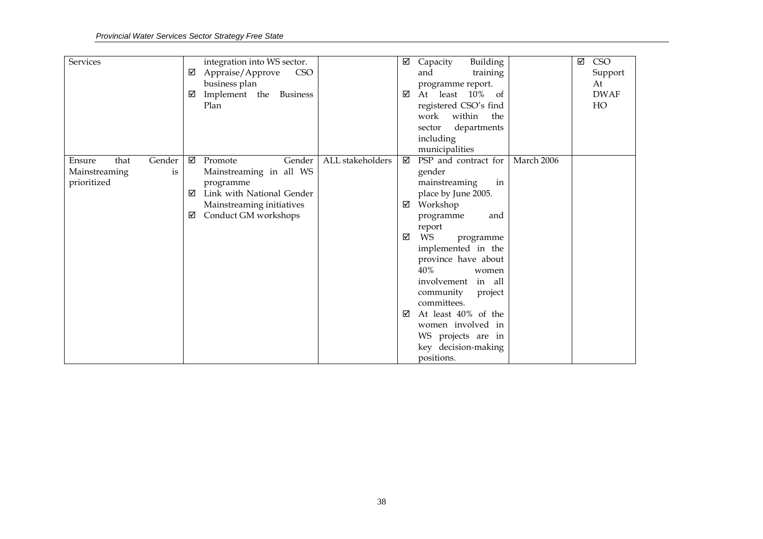| Services                   | integration into WS sector.         | ☑                     | Building<br>Capacity   |            | <b>CSO</b><br>☑ |
|----------------------------|-------------------------------------|-----------------------|------------------------|------------|-----------------|
|                            |                                     |                       |                        |            |                 |
|                            | Appraise/Approve<br><b>CSO</b><br>☑ |                       | training<br>and        |            | Support         |
|                            | business plan                       |                       | programme report.      |            | At              |
|                            | Implement the Business<br>☑         | ☑                     | At least 10% of        |            | <b>DWAF</b>     |
|                            | Plan                                |                       | registered CSO's find  |            | HO              |
|                            |                                     |                       | work<br>within<br>the  |            |                 |
|                            |                                     |                       | departments<br>sector  |            |                 |
|                            |                                     |                       | including              |            |                 |
|                            |                                     |                       | municipalities         |            |                 |
| that<br>Gender<br>Ensure   | ☑<br>Promote<br>Gender              | ALL stakeholders<br>☑ | PSP and contract for   | March 2006 |                 |
| Mainstreaming<br><i>is</i> | Mainstreaming in all WS             |                       | gender                 |            |                 |
| prioritized                | programme                           |                       | mainstreaming<br>in    |            |                 |
|                            | Link with National Gender<br>☑      |                       | place by June 2005.    |            |                 |
|                            | Mainstreaming initiatives           | ☑                     | Workshop               |            |                 |
|                            | Conduct GM workshops<br>☑           |                       | and<br>programme       |            |                 |
|                            |                                     |                       | report                 |            |                 |
|                            |                                     | ☑                     | <b>WS</b><br>programme |            |                 |
|                            |                                     |                       | implemented in the     |            |                 |
|                            |                                     |                       |                        |            |                 |
|                            |                                     |                       | province have about    |            |                 |
|                            |                                     |                       | 40%<br>women           |            |                 |
|                            |                                     |                       | involvement in all     |            |                 |
|                            |                                     |                       | community<br>project   |            |                 |
|                            |                                     |                       | committees.            |            |                 |
|                            |                                     | ☑                     | At least 40% of the    |            |                 |
|                            |                                     |                       | women involved in      |            |                 |
|                            |                                     |                       | WS projects are in     |            |                 |
|                            |                                     |                       | key decision-making    |            |                 |
|                            |                                     |                       | positions.             |            |                 |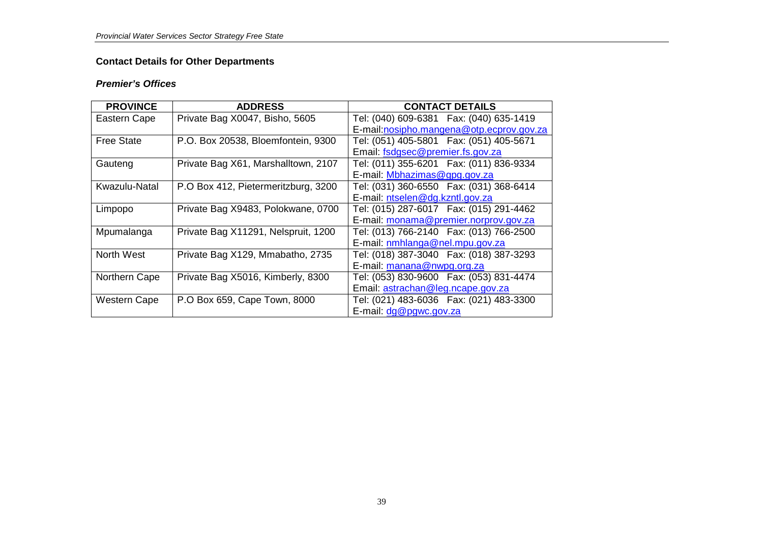## **Contact Details for Other Departments**

## *Premier's Offices*

| <b>PROVINCE</b>   | <b>ADDRESS</b>                      | <b>CONTACT DETAILS</b>                    |
|-------------------|-------------------------------------|-------------------------------------------|
| Eastern Cape      | Private Bag X0047, Bisho, 5605      | Tel: (040) 609-6381  Fax: (040) 635-1419  |
|                   |                                     | E-mail: nosipho.mangena@otp.ecprov.gov.za |
| <b>Free State</b> | P.O. Box 20538, Bloemfontein, 9300  | Tel: (051) 405-5801  Fax: (051) 405-5671  |
|                   |                                     | Email: fsdgsec@premier.fs.gov.za          |
| Gauteng           | Private Bag X61, Marshalltown, 2107 | Tel: (011) 355-6201  Fax: (011) 836-9334  |
|                   |                                     | E-mail: Mbhazimas@gpg.gov.za              |
| Kwazulu-Natal     | P.O Box 412, Pietermeritzburg, 3200 | Tel: (031) 360-6550  Fax: (031) 368-6414  |
|                   |                                     | E-mail: ntselen@dg.kzntl.gov.za           |
| Limpopo           | Private Bag X9483, Polokwane, 0700  | Tel: (015) 287-6017  Fax: (015) 291-4462  |
|                   |                                     | E-mail: monama@premier.norprov.gov.za     |
| Mpumalanga        | Private Bag X11291, Nelspruit, 1200 | Tel: (013) 766-2140  Fax: (013) 766-2500  |
|                   |                                     | E-mail: nmhlanga@nel.mpu.gov.za           |
| North West        | Private Bag X129, Mmabatho, 2735    | Tel: (018) 387-3040  Fax: (018) 387-3293  |
|                   |                                     | E-mail: manana@nwpg.org.za                |
| Northern Cape     | Private Bag X5016, Kimberly, 8300   | Tel: (053) 830-9600  Fax: (053) 831-4474  |
|                   |                                     | Email: astrachan@leg.ncape.gov.za         |
| Western Cape      | P.O Box 659, Cape Town, 8000        | Tel: (021) 483-6036  Fax: (021) 483-3300  |
|                   |                                     | E-mail: dg@pgwc.gov.za                    |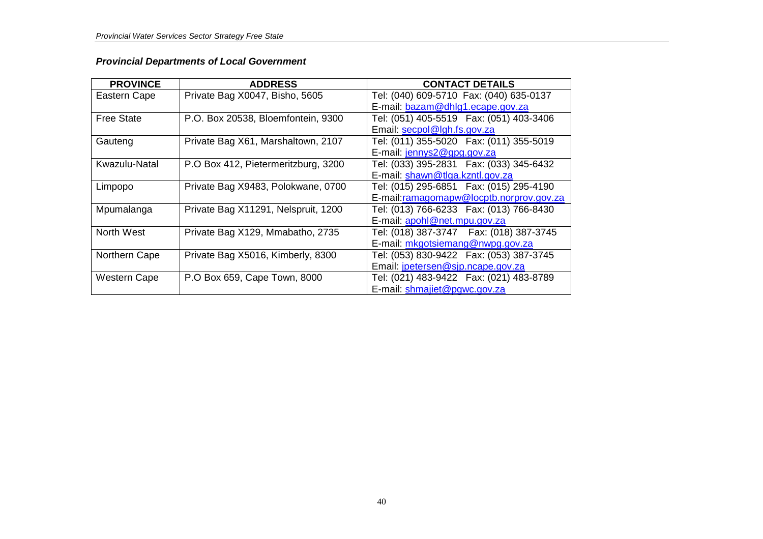#### *Provincial Departments of Local Government*

| <b>PROVINCE</b>   | <b>ADDRESS</b>                      | <b>CONTACT DETAILS</b>                     |
|-------------------|-------------------------------------|--------------------------------------------|
| Eastern Cape      | Private Bag X0047, Bisho, 5605      | Tel: (040) 609-5710 Fax: (040) 635-0137    |
|                   |                                     | E-mail: bazam@dhlg1.ecape.gov.za           |
| <b>Free State</b> | P.O. Box 20538, Bloemfontein, 9300  | Tel: (051) 405-5519  Fax: (051) 403-3406   |
|                   |                                     | Email: secpol@lgh.fs.gov.za                |
| Gauteng           | Private Bag X61, Marshaltown, 2107  | Tel: (011) 355-5020  Fax: (011) 355-5019   |
|                   |                                     | E-mail: jennys2@gpg.gov.za                 |
| Kwazulu-Natal     | P.O Box 412, Pietermeritzburg, 3200 | Tel: (033) 395-2831  Fax: (033) 345-6432   |
|                   |                                     | E-mail: shawn@tlga.kzntl.gov.za            |
| Limpopo           | Private Bag X9483, Polokwane, 0700  | Tel: (015) 295-6851  Fax: (015) 295-4190   |
|                   |                                     | E-mail:ramagomapw@locptb.norprov.gov.za    |
| Mpumalanga        | Private Bag X11291, Nelspruit, 1200 | Tel: (013) 766-6233  Fax: (013) 766-8430   |
|                   |                                     | E-mail: apohl@net.mpu.gov.za               |
| North West        | Private Bag X129, Mmabatho, 2735    | Tel: (018) 387-3747    Fax: (018) 387-3745 |
|                   |                                     | E-mail: mkgotsiemang@nwpg.gov.za           |
| Northern Cape     | Private Bag X5016, Kimberly, 8300   | Tel: (053) 830-9422  Fax: (053) 387-3745   |
|                   |                                     | Email: jpetersen@sjp.ncape.gov.za          |
| Western Cape      | P.O Box 659, Cape Town, 8000        | Tel: (021) 483-9422  Fax: (021) 483-8789   |
|                   |                                     | E-mail: shmajiet@pgwc.gov.za               |